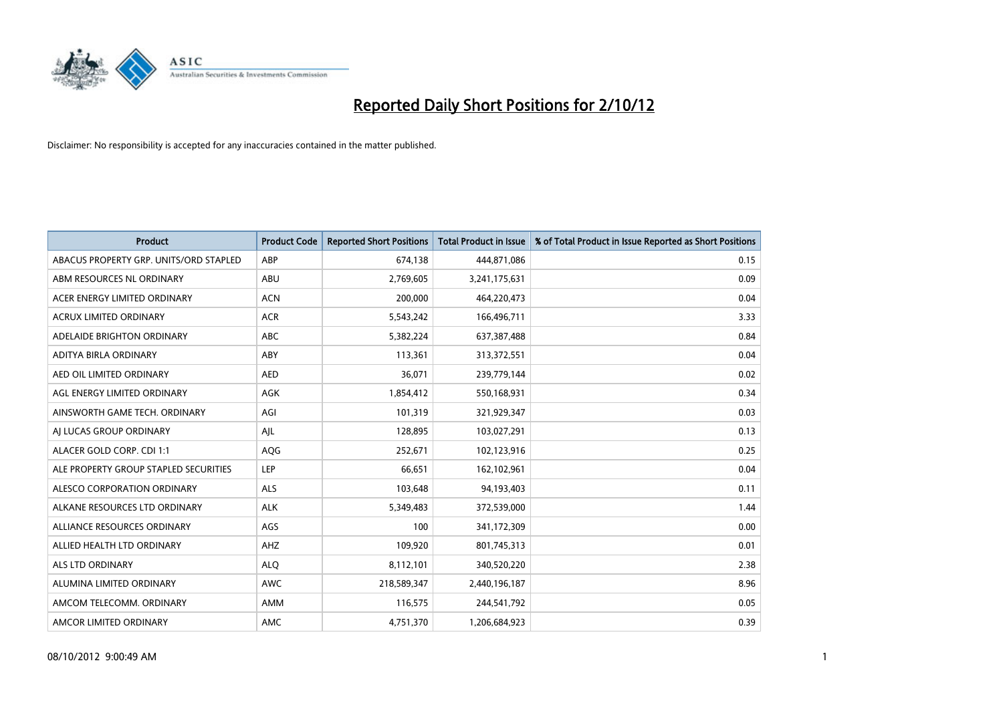

| <b>Product</b>                         | <b>Product Code</b> | <b>Reported Short Positions</b> | <b>Total Product in Issue</b> | % of Total Product in Issue Reported as Short Positions |
|----------------------------------------|---------------------|---------------------------------|-------------------------------|---------------------------------------------------------|
| ABACUS PROPERTY GRP. UNITS/ORD STAPLED | ABP                 | 674,138                         | 444,871,086                   | 0.15                                                    |
| ABM RESOURCES NL ORDINARY              | ABU                 | 2,769,605                       | 3,241,175,631                 | 0.09                                                    |
| ACER ENERGY LIMITED ORDINARY           | <b>ACN</b>          | 200,000                         | 464,220,473                   | 0.04                                                    |
| ACRUX LIMITED ORDINARY                 | <b>ACR</b>          | 5,543,242                       | 166,496,711                   | 3.33                                                    |
| ADELAIDE BRIGHTON ORDINARY             | <b>ABC</b>          | 5,382,224                       | 637,387,488                   | 0.84                                                    |
| ADITYA BIRLA ORDINARY                  | ABY                 | 113,361                         | 313,372,551                   | 0.04                                                    |
| AED OIL LIMITED ORDINARY               | <b>AED</b>          | 36,071                          | 239,779,144                   | 0.02                                                    |
| AGL ENERGY LIMITED ORDINARY            | AGK                 | 1,854,412                       | 550,168,931                   | 0.34                                                    |
| AINSWORTH GAME TECH. ORDINARY          | AGI                 | 101,319                         | 321,929,347                   | 0.03                                                    |
| AI LUCAS GROUP ORDINARY                | AJL                 | 128,895                         | 103,027,291                   | 0.13                                                    |
| ALACER GOLD CORP. CDI 1:1              | AQG                 | 252,671                         | 102,123,916                   | 0.25                                                    |
| ALE PROPERTY GROUP STAPLED SECURITIES  | LEP                 | 66,651                          | 162,102,961                   | 0.04                                                    |
| ALESCO CORPORATION ORDINARY            | <b>ALS</b>          | 103,648                         | 94,193,403                    | 0.11                                                    |
| ALKANE RESOURCES LTD ORDINARY          | <b>ALK</b>          | 5,349,483                       | 372,539,000                   | 1.44                                                    |
| ALLIANCE RESOURCES ORDINARY            | AGS                 | 100                             | 341,172,309                   | 0.00                                                    |
| ALLIED HEALTH LTD ORDINARY             | AHZ                 | 109,920                         | 801,745,313                   | 0.01                                                    |
| <b>ALS LTD ORDINARY</b>                | <b>ALO</b>          | 8,112,101                       | 340,520,220                   | 2.38                                                    |
| ALUMINA LIMITED ORDINARY               | <b>AWC</b>          | 218,589,347                     | 2,440,196,187                 | 8.96                                                    |
| AMCOM TELECOMM. ORDINARY               | AMM                 | 116,575                         | 244,541,792                   | 0.05                                                    |
| AMCOR LIMITED ORDINARY                 | AMC                 | 4,751,370                       | 1,206,684,923                 | 0.39                                                    |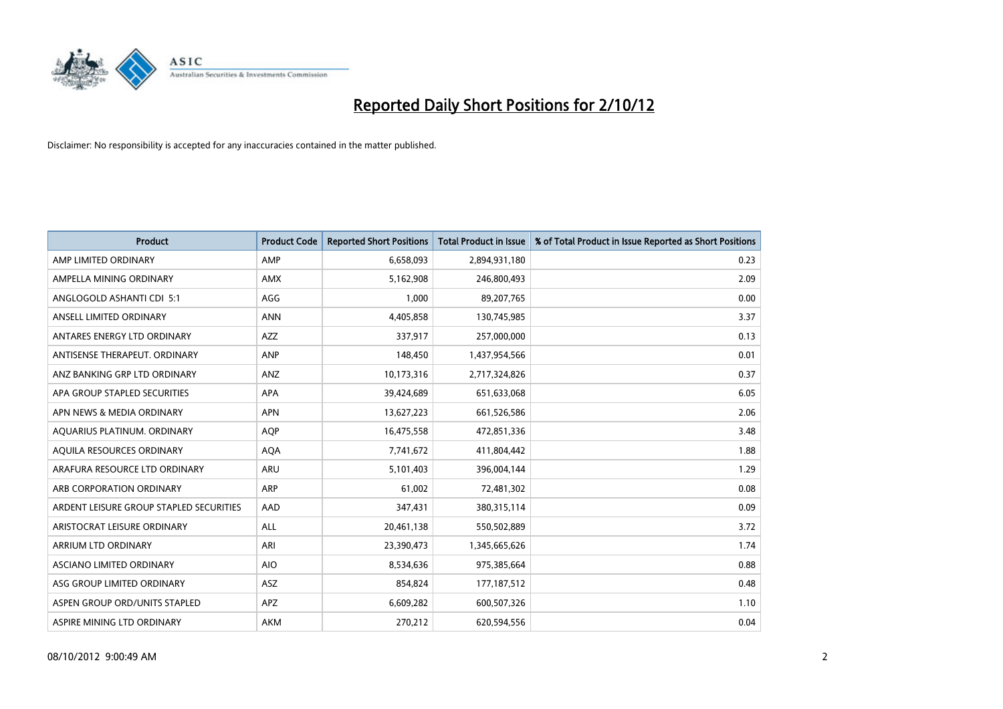

| <b>Product</b>                          | <b>Product Code</b> | <b>Reported Short Positions</b> | <b>Total Product in Issue</b> | % of Total Product in Issue Reported as Short Positions |
|-----------------------------------------|---------------------|---------------------------------|-------------------------------|---------------------------------------------------------|
| AMP LIMITED ORDINARY                    | AMP                 | 6,658,093                       | 2,894,931,180                 | 0.23                                                    |
| AMPELLA MINING ORDINARY                 | <b>AMX</b>          | 5,162,908                       | 246,800,493                   | 2.09                                                    |
| ANGLOGOLD ASHANTI CDI 5:1               | AGG                 | 1,000                           | 89,207,765                    | 0.00                                                    |
| ANSELL LIMITED ORDINARY                 | <b>ANN</b>          | 4,405,858                       | 130,745,985                   | 3.37                                                    |
| ANTARES ENERGY LTD ORDINARY             | <b>AZZ</b>          | 337,917                         | 257,000,000                   | 0.13                                                    |
| ANTISENSE THERAPEUT, ORDINARY           | <b>ANP</b>          | 148,450                         | 1,437,954,566                 | 0.01                                                    |
| ANZ BANKING GRP LTD ORDINARY            | <b>ANZ</b>          | 10,173,316                      | 2,717,324,826                 | 0.37                                                    |
| APA GROUP STAPLED SECURITIES            | <b>APA</b>          | 39,424,689                      | 651,633,068                   | 6.05                                                    |
| APN NEWS & MEDIA ORDINARY               | <b>APN</b>          | 13,627,223                      | 661,526,586                   | 2.06                                                    |
| AQUARIUS PLATINUM. ORDINARY             | <b>AOP</b>          | 16,475,558                      | 472,851,336                   | 3.48                                                    |
| AQUILA RESOURCES ORDINARY               | <b>AQA</b>          | 7,741,672                       | 411,804,442                   | 1.88                                                    |
| ARAFURA RESOURCE LTD ORDINARY           | <b>ARU</b>          | 5,101,403                       | 396,004,144                   | 1.29                                                    |
| ARB CORPORATION ORDINARY                | <b>ARP</b>          | 61,002                          | 72,481,302                    | 0.08                                                    |
| ARDENT LEISURE GROUP STAPLED SECURITIES | AAD                 | 347,431                         | 380, 315, 114                 | 0.09                                                    |
| ARISTOCRAT LEISURE ORDINARY             | <b>ALL</b>          | 20,461,138                      | 550,502,889                   | 3.72                                                    |
| ARRIUM LTD ORDINARY                     | ARI                 | 23,390,473                      | 1,345,665,626                 | 1.74                                                    |
| ASCIANO LIMITED ORDINARY                | <b>AIO</b>          | 8,534,636                       | 975,385,664                   | 0.88                                                    |
| ASG GROUP LIMITED ORDINARY              | <b>ASZ</b>          | 854,824                         | 177, 187, 512                 | 0.48                                                    |
| ASPEN GROUP ORD/UNITS STAPLED           | <b>APZ</b>          | 6,609,282                       | 600,507,326                   | 1.10                                                    |
| ASPIRE MINING LTD ORDINARY              | <b>AKM</b>          | 270,212                         | 620,594,556                   | 0.04                                                    |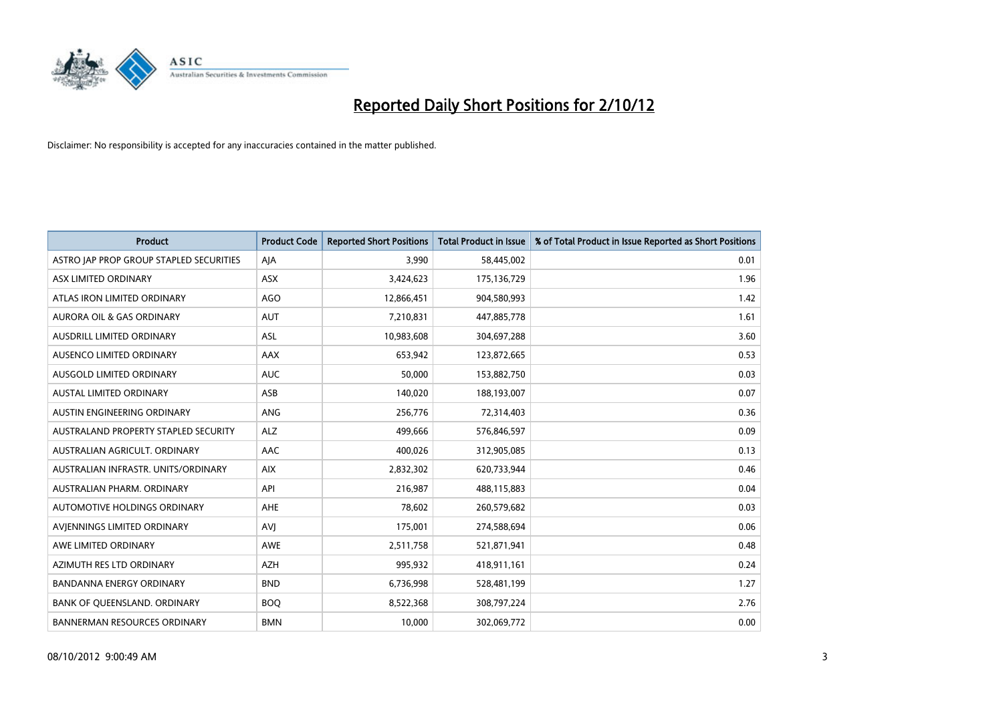

| <b>Product</b>                          | <b>Product Code</b> | <b>Reported Short Positions</b> | <b>Total Product in Issue</b> | % of Total Product in Issue Reported as Short Positions |
|-----------------------------------------|---------------------|---------------------------------|-------------------------------|---------------------------------------------------------|
| ASTRO JAP PROP GROUP STAPLED SECURITIES | AJA                 | 3,990                           | 58,445,002                    | 0.01                                                    |
| ASX LIMITED ORDINARY                    | ASX                 | 3,424,623                       | 175,136,729                   | 1.96                                                    |
| ATLAS IRON LIMITED ORDINARY             | AGO                 | 12,866,451                      | 904,580,993                   | 1.42                                                    |
| AURORA OIL & GAS ORDINARY               | <b>AUT</b>          | 7,210,831                       | 447,885,778                   | 1.61                                                    |
| AUSDRILL LIMITED ORDINARY               | <b>ASL</b>          | 10,983,608                      | 304,697,288                   | 3.60                                                    |
| AUSENCO LIMITED ORDINARY                | AAX                 | 653,942                         | 123,872,665                   | 0.53                                                    |
| AUSGOLD LIMITED ORDINARY                | <b>AUC</b>          | 50,000                          | 153,882,750                   | 0.03                                                    |
| AUSTAL LIMITED ORDINARY                 | ASB                 | 140,020                         | 188,193,007                   | 0.07                                                    |
| AUSTIN ENGINEERING ORDINARY             | <b>ANG</b>          | 256,776                         | 72,314,403                    | 0.36                                                    |
| AUSTRALAND PROPERTY STAPLED SECURITY    | <b>ALZ</b>          | 499,666                         | 576,846,597                   | 0.09                                                    |
| AUSTRALIAN AGRICULT. ORDINARY           | AAC                 | 400,026                         | 312,905,085                   | 0.13                                                    |
| AUSTRALIAN INFRASTR, UNITS/ORDINARY     | <b>AIX</b>          | 2,832,302                       | 620,733,944                   | 0.46                                                    |
| AUSTRALIAN PHARM. ORDINARY              | API                 | 216,987                         | 488,115,883                   | 0.04                                                    |
| AUTOMOTIVE HOLDINGS ORDINARY            | <b>AHE</b>          | 78,602                          | 260,579,682                   | 0.03                                                    |
| AVIENNINGS LIMITED ORDINARY             | <b>AVI</b>          | 175,001                         | 274,588,694                   | 0.06                                                    |
| AWE LIMITED ORDINARY                    | <b>AWE</b>          | 2,511,758                       | 521,871,941                   | 0.48                                                    |
| AZIMUTH RES LTD ORDINARY                | AZH                 | 995,932                         | 418,911,161                   | 0.24                                                    |
| BANDANNA ENERGY ORDINARY                | <b>BND</b>          | 6,736,998                       | 528,481,199                   | 1.27                                                    |
| BANK OF QUEENSLAND. ORDINARY            | <b>BOQ</b>          | 8,522,368                       | 308,797,224                   | 2.76                                                    |
| <b>BANNERMAN RESOURCES ORDINARY</b>     | <b>BMN</b>          | 10,000                          | 302,069,772                   | 0.00                                                    |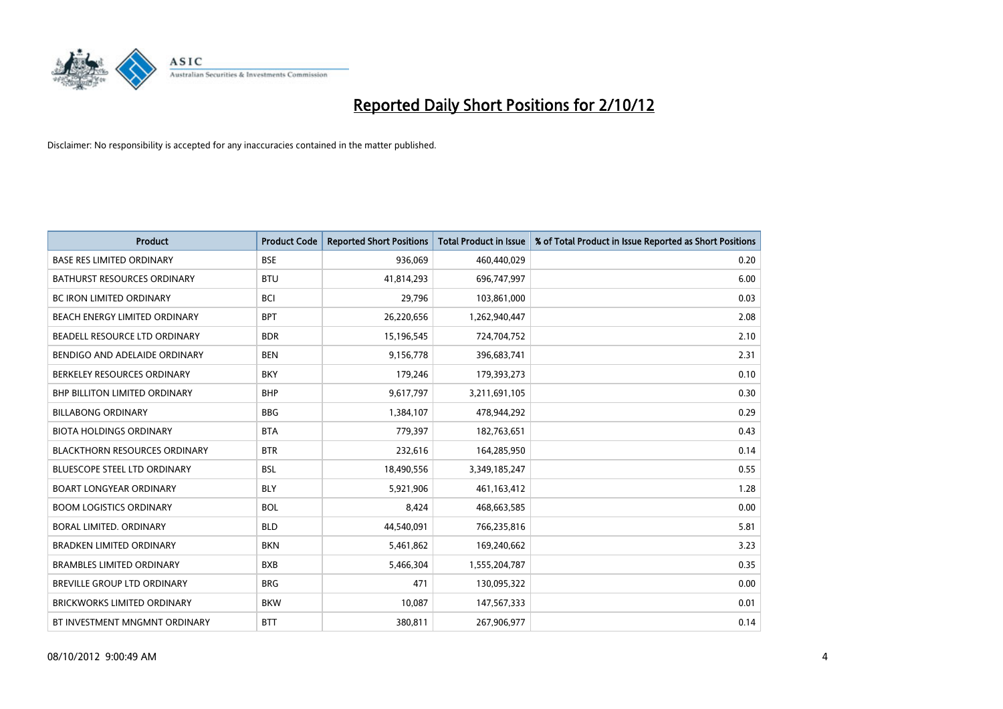

| <b>Product</b>                       | <b>Product Code</b> | <b>Reported Short Positions</b> | <b>Total Product in Issue</b> | % of Total Product in Issue Reported as Short Positions |
|--------------------------------------|---------------------|---------------------------------|-------------------------------|---------------------------------------------------------|
| <b>BASE RES LIMITED ORDINARY</b>     | <b>BSE</b>          | 936,069                         | 460,440,029                   | 0.20                                                    |
| <b>BATHURST RESOURCES ORDINARY</b>   | <b>BTU</b>          | 41,814,293                      | 696,747,997                   | 6.00                                                    |
| <b>BC IRON LIMITED ORDINARY</b>      | <b>BCI</b>          | 29,796                          | 103,861,000                   | 0.03                                                    |
| BEACH ENERGY LIMITED ORDINARY        | <b>BPT</b>          | 26,220,656                      | 1,262,940,447                 | 2.08                                                    |
| BEADELL RESOURCE LTD ORDINARY        | <b>BDR</b>          | 15,196,545                      | 724,704,752                   | 2.10                                                    |
| BENDIGO AND ADELAIDE ORDINARY        | <b>BEN</b>          | 9,156,778                       | 396,683,741                   | 2.31                                                    |
| BERKELEY RESOURCES ORDINARY          | <b>BKY</b>          | 179,246                         | 179,393,273                   | 0.10                                                    |
| <b>BHP BILLITON LIMITED ORDINARY</b> | <b>BHP</b>          | 9,617,797                       | 3,211,691,105                 | 0.30                                                    |
| <b>BILLABONG ORDINARY</b>            | <b>BBG</b>          | 1,384,107                       | 478,944,292                   | 0.29                                                    |
| <b>BIOTA HOLDINGS ORDINARY</b>       | <b>BTA</b>          | 779,397                         | 182,763,651                   | 0.43                                                    |
| <b>BLACKTHORN RESOURCES ORDINARY</b> | <b>BTR</b>          | 232,616                         | 164,285,950                   | 0.14                                                    |
| <b>BLUESCOPE STEEL LTD ORDINARY</b>  | <b>BSL</b>          | 18,490,556                      | 3,349,185,247                 | 0.55                                                    |
| <b>BOART LONGYEAR ORDINARY</b>       | <b>BLY</b>          | 5,921,906                       | 461,163,412                   | 1.28                                                    |
| <b>BOOM LOGISTICS ORDINARY</b>       | <b>BOL</b>          | 8,424                           | 468,663,585                   | 0.00                                                    |
| BORAL LIMITED, ORDINARY              | <b>BLD</b>          | 44,540,091                      | 766,235,816                   | 5.81                                                    |
| BRADKEN LIMITED ORDINARY             | <b>BKN</b>          | 5,461,862                       | 169,240,662                   | 3.23                                                    |
| <b>BRAMBLES LIMITED ORDINARY</b>     | <b>BXB</b>          | 5,466,304                       | 1,555,204,787                 | 0.35                                                    |
| BREVILLE GROUP LTD ORDINARY          | <b>BRG</b>          | 471                             | 130,095,322                   | 0.00                                                    |
| <b>BRICKWORKS LIMITED ORDINARY</b>   | <b>BKW</b>          | 10,087                          | 147,567,333                   | 0.01                                                    |
| BT INVESTMENT MNGMNT ORDINARY        | <b>BTT</b>          | 380,811                         | 267,906,977                   | 0.14                                                    |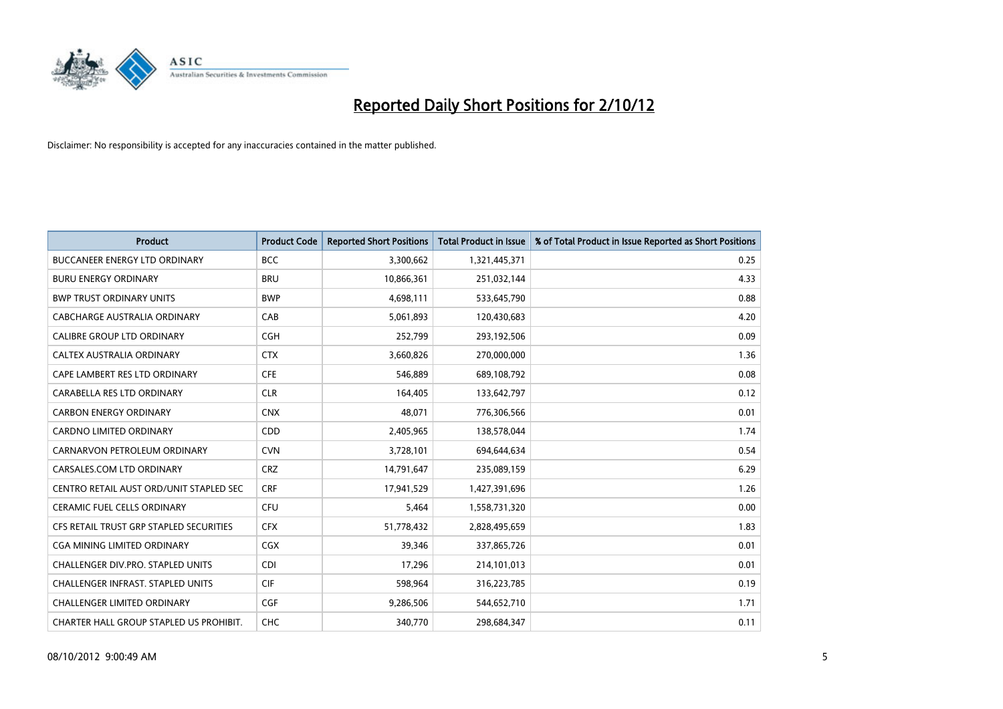

| <b>Product</b>                          | <b>Product Code</b> | <b>Reported Short Positions</b> | <b>Total Product in Issue</b> | % of Total Product in Issue Reported as Short Positions |
|-----------------------------------------|---------------------|---------------------------------|-------------------------------|---------------------------------------------------------|
| <b>BUCCANEER ENERGY LTD ORDINARY</b>    | <b>BCC</b>          | 3,300,662                       | 1,321,445,371                 | 0.25                                                    |
| <b>BURU ENERGY ORDINARY</b>             | <b>BRU</b>          | 10,866,361                      | 251,032,144                   | 4.33                                                    |
| <b>BWP TRUST ORDINARY UNITS</b>         | <b>BWP</b>          | 4,698,111                       | 533,645,790                   | 0.88                                                    |
| CABCHARGE AUSTRALIA ORDINARY            | CAB                 | 5,061,893                       | 120,430,683                   | 4.20                                                    |
| <b>CALIBRE GROUP LTD ORDINARY</b>       | <b>CGH</b>          | 252,799                         | 293,192,506                   | 0.09                                                    |
| CALTEX AUSTRALIA ORDINARY               | <b>CTX</b>          | 3,660,826                       | 270,000,000                   | 1.36                                                    |
| CAPE LAMBERT RES LTD ORDINARY           | <b>CFE</b>          | 546.889                         | 689,108,792                   | 0.08                                                    |
| CARABELLA RES LTD ORDINARY              | <b>CLR</b>          | 164,405                         | 133,642,797                   | 0.12                                                    |
| <b>CARBON ENERGY ORDINARY</b>           | <b>CNX</b>          | 48,071                          | 776,306,566                   | 0.01                                                    |
| <b>CARDNO LIMITED ORDINARY</b>          | CDD                 | 2,405,965                       | 138,578,044                   | 1.74                                                    |
| CARNARVON PETROLEUM ORDINARY            | <b>CVN</b>          | 3,728,101                       | 694,644,634                   | 0.54                                                    |
| CARSALES.COM LTD ORDINARY               | <b>CRZ</b>          | 14,791,647                      | 235,089,159                   | 6.29                                                    |
| CENTRO RETAIL AUST ORD/UNIT STAPLED SEC | <b>CRF</b>          | 17,941,529                      | 1,427,391,696                 | 1.26                                                    |
| <b>CERAMIC FUEL CELLS ORDINARY</b>      | <b>CFU</b>          | 5,464                           | 1,558,731,320                 | 0.00                                                    |
| CFS RETAIL TRUST GRP STAPLED SECURITIES | <b>CFX</b>          | 51,778,432                      | 2,828,495,659                 | 1.83                                                    |
| CGA MINING LIMITED ORDINARY             | <b>CGX</b>          | 39,346                          | 337,865,726                   | 0.01                                                    |
| CHALLENGER DIV.PRO. STAPLED UNITS       | <b>CDI</b>          | 17,296                          | 214,101,013                   | 0.01                                                    |
| CHALLENGER INFRAST. STAPLED UNITS       | <b>CIF</b>          | 598,964                         | 316,223,785                   | 0.19                                                    |
| <b>CHALLENGER LIMITED ORDINARY</b>      | <b>CGF</b>          | 9,286,506                       | 544,652,710                   | 1.71                                                    |
| CHARTER HALL GROUP STAPLED US PROHIBIT. | <b>CHC</b>          | 340.770                         | 298.684.347                   | 0.11                                                    |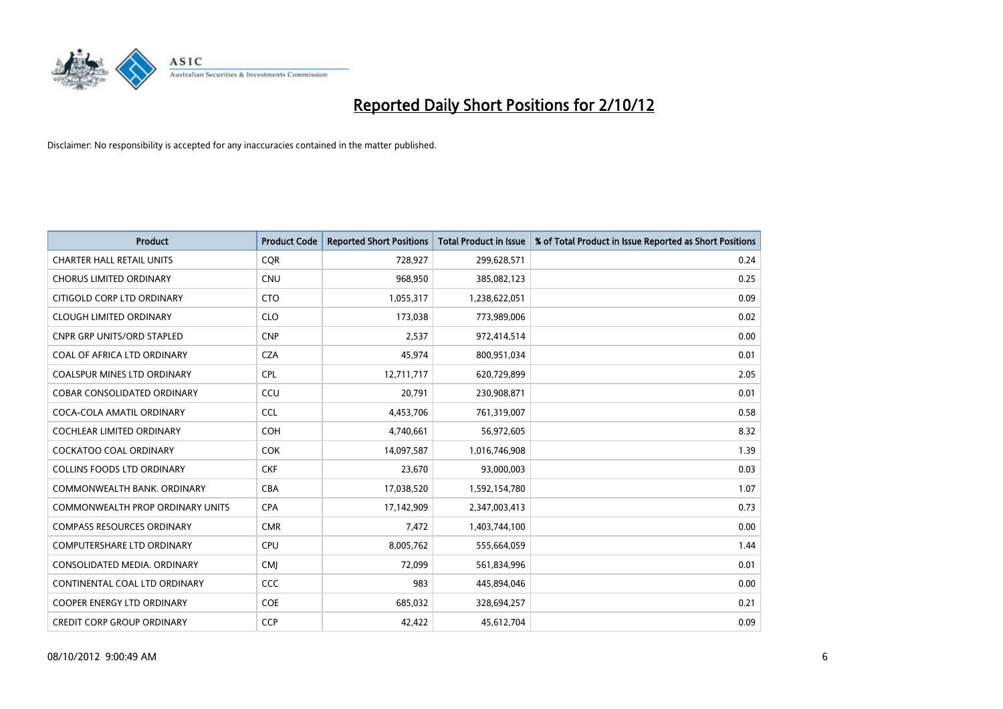

| <b>Product</b>                          | <b>Product Code</b> | <b>Reported Short Positions</b> | <b>Total Product in Issue</b> | % of Total Product in Issue Reported as Short Positions |
|-----------------------------------------|---------------------|---------------------------------|-------------------------------|---------------------------------------------------------|
| <b>CHARTER HALL RETAIL UNITS</b>        | <b>COR</b>          | 728,927                         | 299,628,571                   | 0.24                                                    |
| <b>CHORUS LIMITED ORDINARY</b>          | <b>CNU</b>          | 968,950                         | 385,082,123                   | 0.25                                                    |
| CITIGOLD CORP LTD ORDINARY              | <b>CTO</b>          | 1,055,317                       | 1,238,622,051                 | 0.09                                                    |
| <b>CLOUGH LIMITED ORDINARY</b>          | <b>CLO</b>          | 173,038                         | 773,989,006                   | 0.02                                                    |
| <b>CNPR GRP UNITS/ORD STAPLED</b>       | <b>CNP</b>          | 2,537                           | 972,414,514                   | 0.00                                                    |
| COAL OF AFRICA LTD ORDINARY             | <b>CZA</b>          | 45,974                          | 800,951,034                   | 0.01                                                    |
| <b>COALSPUR MINES LTD ORDINARY</b>      | <b>CPL</b>          | 12,711,717                      | 620,729,899                   | 2.05                                                    |
| COBAR CONSOLIDATED ORDINARY             | CCU                 | 20,791                          | 230,908,871                   | 0.01                                                    |
| COCA-COLA AMATIL ORDINARY               | <b>CCL</b>          | 4,453,706                       | 761,319,007                   | 0.58                                                    |
| <b>COCHLEAR LIMITED ORDINARY</b>        | <b>COH</b>          | 4,740,661                       | 56,972,605                    | 8.32                                                    |
| COCKATOO COAL ORDINARY                  | <b>COK</b>          | 14,097,587                      | 1,016,746,908                 | 1.39                                                    |
| <b>COLLINS FOODS LTD ORDINARY</b>       | <b>CKF</b>          | 23,670                          | 93,000,003                    | 0.03                                                    |
| COMMONWEALTH BANK, ORDINARY             | <b>CBA</b>          | 17,038,520                      | 1,592,154,780                 | 1.07                                                    |
| <b>COMMONWEALTH PROP ORDINARY UNITS</b> | <b>CPA</b>          | 17,142,909                      | 2,347,003,413                 | 0.73                                                    |
| <b>COMPASS RESOURCES ORDINARY</b>       | <b>CMR</b>          | 7,472                           | 1,403,744,100                 | 0.00                                                    |
| COMPUTERSHARE LTD ORDINARY              | <b>CPU</b>          | 8,005,762                       | 555,664,059                   | 1.44                                                    |
| CONSOLIDATED MEDIA. ORDINARY            | <b>CMI</b>          | 72,099                          | 561,834,996                   | 0.01                                                    |
| CONTINENTAL COAL LTD ORDINARY           | CCC                 | 983                             | 445,894,046                   | 0.00                                                    |
| <b>COOPER ENERGY LTD ORDINARY</b>       | <b>COE</b>          | 685,032                         | 328,694,257                   | 0.21                                                    |
| <b>CREDIT CORP GROUP ORDINARY</b>       | <b>CCP</b>          | 42,422                          | 45,612,704                    | 0.09                                                    |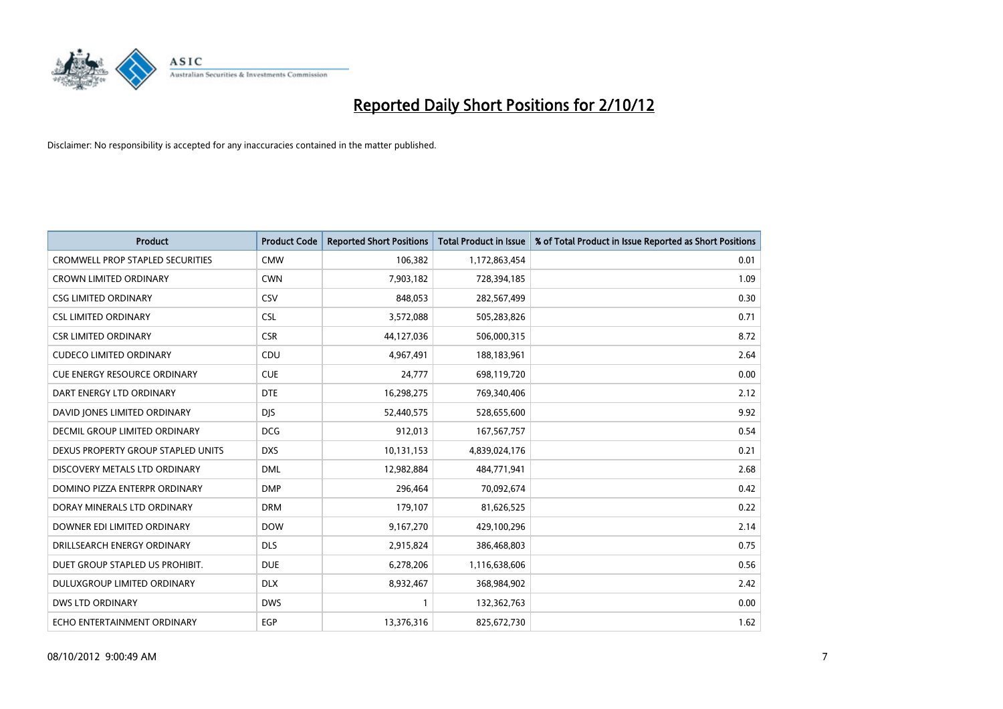

| <b>Product</b>                          | <b>Product Code</b> | <b>Reported Short Positions</b> | <b>Total Product in Issue</b> | % of Total Product in Issue Reported as Short Positions |
|-----------------------------------------|---------------------|---------------------------------|-------------------------------|---------------------------------------------------------|
| <b>CROMWELL PROP STAPLED SECURITIES</b> | <b>CMW</b>          | 106,382                         | 1,172,863,454                 | 0.01                                                    |
| CROWN LIMITED ORDINARY                  | <b>CWN</b>          | 7,903,182                       | 728,394,185                   | 1.09                                                    |
| <b>CSG LIMITED ORDINARY</b>             | CSV                 | 848,053                         | 282,567,499                   | 0.30                                                    |
| <b>CSL LIMITED ORDINARY</b>             | <b>CSL</b>          | 3,572,088                       | 505,283,826                   | 0.71                                                    |
| <b>CSR LIMITED ORDINARY</b>             | <b>CSR</b>          | 44,127,036                      | 506,000,315                   | 8.72                                                    |
| <b>CUDECO LIMITED ORDINARY</b>          | CDU                 | 4,967,491                       | 188,183,961                   | 2.64                                                    |
| <b>CUE ENERGY RESOURCE ORDINARY</b>     | <b>CUE</b>          | 24,777                          | 698,119,720                   | 0.00                                                    |
| DART ENERGY LTD ORDINARY                | <b>DTE</b>          | 16,298,275                      | 769,340,406                   | 2.12                                                    |
| DAVID JONES LIMITED ORDINARY            | <b>DIS</b>          | 52,440,575                      | 528,655,600                   | 9.92                                                    |
| DECMIL GROUP LIMITED ORDINARY           | <b>DCG</b>          | 912,013                         | 167, 567, 757                 | 0.54                                                    |
| DEXUS PROPERTY GROUP STAPLED UNITS      | <b>DXS</b>          | 10,131,153                      | 4,839,024,176                 | 0.21                                                    |
| DISCOVERY METALS LTD ORDINARY           | <b>DML</b>          | 12,982,884                      | 484,771,941                   | 2.68                                                    |
| DOMINO PIZZA ENTERPR ORDINARY           | <b>DMP</b>          | 296,464                         | 70,092,674                    | 0.42                                                    |
| DORAY MINERALS LTD ORDINARY             | <b>DRM</b>          | 179,107                         | 81,626,525                    | 0.22                                                    |
| DOWNER EDI LIMITED ORDINARY             | <b>DOW</b>          | 9,167,270                       | 429,100,296                   | 2.14                                                    |
| DRILLSEARCH ENERGY ORDINARY             | <b>DLS</b>          | 2,915,824                       | 386,468,803                   | 0.75                                                    |
| DUET GROUP STAPLED US PROHIBIT.         | <b>DUE</b>          | 6,278,206                       | 1,116,638,606                 | 0.56                                                    |
| DULUXGROUP LIMITED ORDINARY             | <b>DLX</b>          | 8,932,467                       | 368,984,902                   | 2.42                                                    |
| <b>DWS LTD ORDINARY</b>                 | <b>DWS</b>          |                                 | 132,362,763                   | 0.00                                                    |
| ECHO ENTERTAINMENT ORDINARY             | <b>EGP</b>          | 13,376,316                      | 825,672,730                   | 1.62                                                    |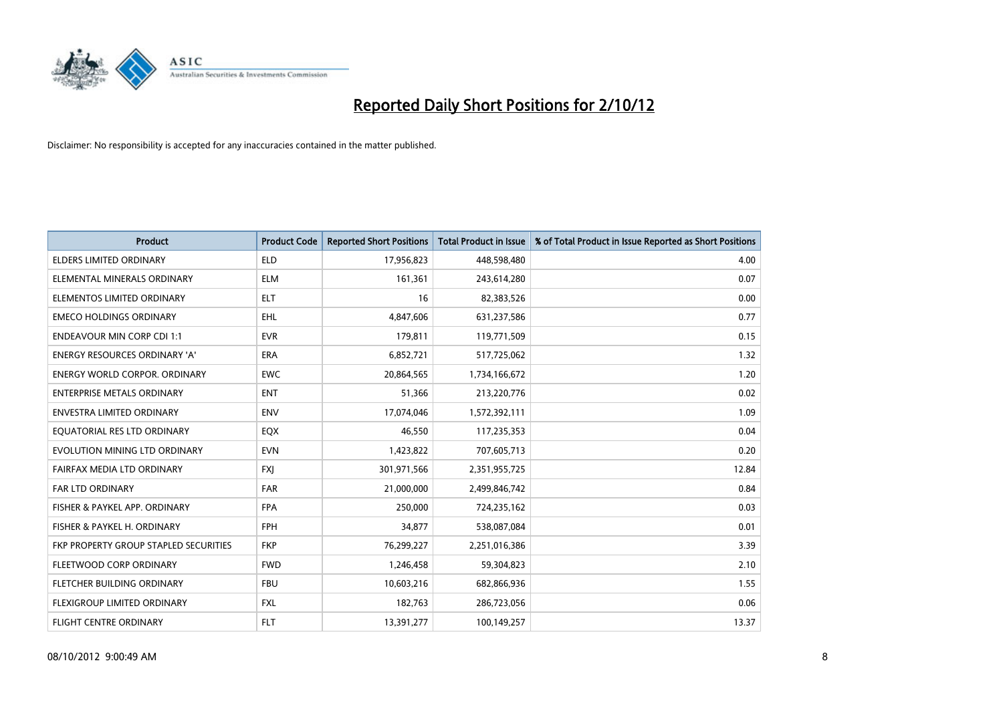

| <b>Product</b>                        | <b>Product Code</b> | <b>Reported Short Positions</b> | <b>Total Product in Issue</b> | % of Total Product in Issue Reported as Short Positions |
|---------------------------------------|---------------------|---------------------------------|-------------------------------|---------------------------------------------------------|
| <b>ELDERS LIMITED ORDINARY</b>        | <b>ELD</b>          | 17,956,823                      | 448,598,480                   | 4.00                                                    |
| ELEMENTAL MINERALS ORDINARY           | <b>ELM</b>          | 161,361                         | 243,614,280                   | 0.07                                                    |
| ELEMENTOS LIMITED ORDINARY            | <b>ELT</b>          | 16                              | 82,383,526                    | 0.00                                                    |
| <b>EMECO HOLDINGS ORDINARY</b>        | <b>EHL</b>          | 4,847,606                       | 631,237,586                   | 0.77                                                    |
| <b>ENDEAVOUR MIN CORP CDI 1:1</b>     | <b>EVR</b>          | 179,811                         | 119,771,509                   | 0.15                                                    |
| <b>ENERGY RESOURCES ORDINARY 'A'</b>  | <b>ERA</b>          | 6,852,721                       | 517,725,062                   | 1.32                                                    |
| ENERGY WORLD CORPOR, ORDINARY         | <b>EWC</b>          | 20,864,565                      | 1,734,166,672                 | 1.20                                                    |
| <b>ENTERPRISE METALS ORDINARY</b>     | <b>ENT</b>          | 51,366                          | 213,220,776                   | 0.02                                                    |
| <b>ENVESTRA LIMITED ORDINARY</b>      | <b>ENV</b>          | 17,074,046                      | 1,572,392,111                 | 1.09                                                    |
| EQUATORIAL RES LTD ORDINARY           | EQX                 | 46,550                          | 117,235,353                   | 0.04                                                    |
| EVOLUTION MINING LTD ORDINARY         | <b>EVN</b>          | 1,423,822                       | 707,605,713                   | 0.20                                                    |
| FAIRFAX MEDIA LTD ORDINARY            | <b>FXI</b>          | 301,971,566                     | 2,351,955,725                 | 12.84                                                   |
| FAR LTD ORDINARY                      | <b>FAR</b>          | 21,000,000                      | 2,499,846,742                 | 0.84                                                    |
| FISHER & PAYKEL APP. ORDINARY         | <b>FPA</b>          | 250,000                         | 724,235,162                   | 0.03                                                    |
| FISHER & PAYKEL H. ORDINARY           | <b>FPH</b>          | 34,877                          | 538,087,084                   | 0.01                                                    |
| FKP PROPERTY GROUP STAPLED SECURITIES | <b>FKP</b>          | 76,299,227                      | 2,251,016,386                 | 3.39                                                    |
| FLEETWOOD CORP ORDINARY               | <b>FWD</b>          | 1,246,458                       | 59,304,823                    | 2.10                                                    |
| FLETCHER BUILDING ORDINARY            | <b>FBU</b>          | 10,603,216                      | 682,866,936                   | 1.55                                                    |
| <b>FLEXIGROUP LIMITED ORDINARY</b>    | <b>FXL</b>          | 182,763                         | 286,723,056                   | 0.06                                                    |
| FLIGHT CENTRE ORDINARY                | <b>FLT</b>          | 13,391,277                      | 100,149,257                   | 13.37                                                   |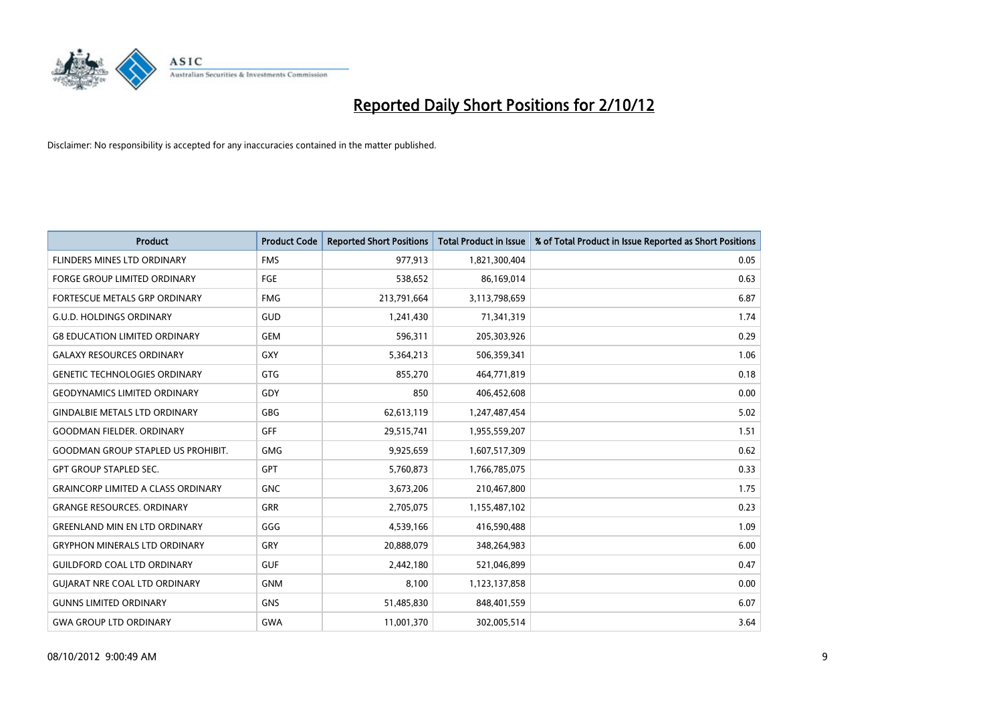

| <b>Product</b>                            | <b>Product Code</b> | <b>Reported Short Positions</b> | <b>Total Product in Issue</b> | % of Total Product in Issue Reported as Short Positions |
|-------------------------------------------|---------------------|---------------------------------|-------------------------------|---------------------------------------------------------|
| FLINDERS MINES LTD ORDINARY               | <b>FMS</b>          | 977,913                         | 1,821,300,404                 | 0.05                                                    |
| FORGE GROUP LIMITED ORDINARY              | FGE                 | 538,652                         | 86,169,014                    | 0.63                                                    |
| FORTESCUE METALS GRP ORDINARY             | <b>FMG</b>          | 213,791,664                     | 3,113,798,659                 | 6.87                                                    |
| <b>G.U.D. HOLDINGS ORDINARY</b>           | GUD                 | 1,241,430                       | 71,341,319                    | 1.74                                                    |
| <b>G8 EDUCATION LIMITED ORDINARY</b>      | <b>GEM</b>          | 596,311                         | 205,303,926                   | 0.29                                                    |
| <b>GALAXY RESOURCES ORDINARY</b>          | <b>GXY</b>          | 5,364,213                       | 506,359,341                   | 1.06                                                    |
| <b>GENETIC TECHNOLOGIES ORDINARY</b>      | <b>GTG</b>          | 855,270                         | 464,771,819                   | 0.18                                                    |
| <b>GEODYNAMICS LIMITED ORDINARY</b>       | GDY                 | 850                             | 406,452,608                   | 0.00                                                    |
| <b>GINDALBIE METALS LTD ORDINARY</b>      | GBG                 | 62,613,119                      | 1,247,487,454                 | 5.02                                                    |
| <b>GOODMAN FIELDER, ORDINARY</b>          | <b>GFF</b>          | 29,515,741                      | 1,955,559,207                 | 1.51                                                    |
| <b>GOODMAN GROUP STAPLED US PROHIBIT.</b> | <b>GMG</b>          | 9,925,659                       | 1,607,517,309                 | 0.62                                                    |
| <b>GPT GROUP STAPLED SEC.</b>             | <b>GPT</b>          | 5,760,873                       | 1,766,785,075                 | 0.33                                                    |
| <b>GRAINCORP LIMITED A CLASS ORDINARY</b> | <b>GNC</b>          | 3,673,206                       | 210,467,800                   | 1.75                                                    |
| <b>GRANGE RESOURCES, ORDINARY</b>         | <b>GRR</b>          | 2,705,075                       | 1,155,487,102                 | 0.23                                                    |
| <b>GREENLAND MIN EN LTD ORDINARY</b>      | GGG                 | 4,539,166                       | 416,590,488                   | 1.09                                                    |
| <b>GRYPHON MINERALS LTD ORDINARY</b>      | GRY                 | 20,888,079                      | 348,264,983                   | 6.00                                                    |
| <b>GUILDFORD COAL LTD ORDINARY</b>        | <b>GUF</b>          | 2,442,180                       | 521,046,899                   | 0.47                                                    |
| <b>GUIARAT NRE COAL LTD ORDINARY</b>      | <b>GNM</b>          | 8,100                           | 1,123,137,858                 | 0.00                                                    |
| <b>GUNNS LIMITED ORDINARY</b>             | <b>GNS</b>          | 51,485,830                      | 848,401,559                   | 6.07                                                    |
| <b>GWA GROUP LTD ORDINARY</b>             | <b>GWA</b>          | 11,001,370                      | 302,005,514                   | 3.64                                                    |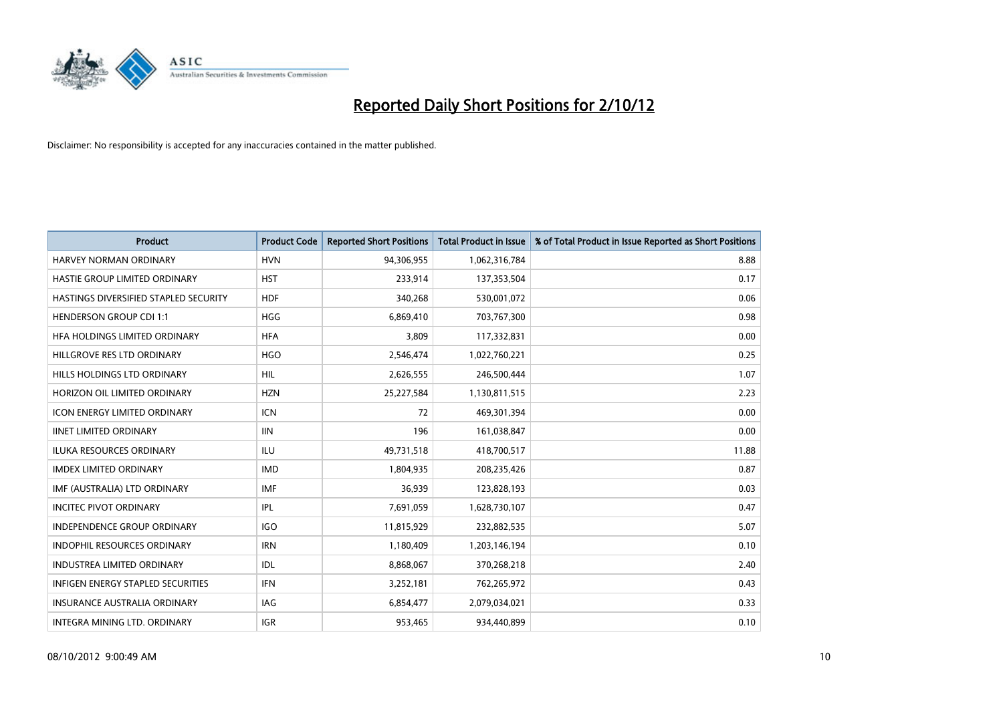

| <b>Product</b>                        | <b>Product Code</b> | <b>Reported Short Positions</b> | <b>Total Product in Issue</b> | % of Total Product in Issue Reported as Short Positions |
|---------------------------------------|---------------------|---------------------------------|-------------------------------|---------------------------------------------------------|
| <b>HARVEY NORMAN ORDINARY</b>         | <b>HVN</b>          | 94,306,955                      | 1,062,316,784                 | 8.88                                                    |
| HASTIE GROUP LIMITED ORDINARY         | <b>HST</b>          | 233,914                         | 137,353,504                   | 0.17                                                    |
| HASTINGS DIVERSIFIED STAPLED SECURITY | <b>HDF</b>          | 340,268                         | 530,001,072                   | 0.06                                                    |
| <b>HENDERSON GROUP CDI 1:1</b>        | <b>HGG</b>          | 6,869,410                       | 703,767,300                   | 0.98                                                    |
| HFA HOLDINGS LIMITED ORDINARY         | <b>HFA</b>          | 3.809                           | 117,332,831                   | 0.00                                                    |
| HILLGROVE RES LTD ORDINARY            | <b>HGO</b>          | 2,546,474                       | 1,022,760,221                 | 0.25                                                    |
| HILLS HOLDINGS LTD ORDINARY           | <b>HIL</b>          | 2,626,555                       | 246,500,444                   | 1.07                                                    |
| HORIZON OIL LIMITED ORDINARY          | <b>HZN</b>          | 25,227,584                      | 1,130,811,515                 | 2.23                                                    |
| ICON ENERGY LIMITED ORDINARY          | <b>ICN</b>          | 72                              | 469,301,394                   | 0.00                                                    |
| <b>IINET LIMITED ORDINARY</b>         | <b>IIN</b>          | 196                             | 161,038,847                   | 0.00                                                    |
| <b>ILUKA RESOURCES ORDINARY</b>       | ILU                 | 49,731,518                      | 418,700,517                   | 11.88                                                   |
| <b>IMDEX LIMITED ORDINARY</b>         | <b>IMD</b>          | 1,804,935                       | 208,235,426                   | 0.87                                                    |
| IMF (AUSTRALIA) LTD ORDINARY          | <b>IMF</b>          | 36,939                          | 123,828,193                   | 0.03                                                    |
| <b>INCITEC PIVOT ORDINARY</b>         | <b>IPL</b>          | 7,691,059                       | 1,628,730,107                 | 0.47                                                    |
| <b>INDEPENDENCE GROUP ORDINARY</b>    | <b>IGO</b>          | 11,815,929                      | 232,882,535                   | 5.07                                                    |
| <b>INDOPHIL RESOURCES ORDINARY</b>    | <b>IRN</b>          | 1,180,409                       | 1,203,146,194                 | 0.10                                                    |
| <b>INDUSTREA LIMITED ORDINARY</b>     | <b>IDL</b>          | 8,868,067                       | 370,268,218                   | 2.40                                                    |
| INFIGEN ENERGY STAPLED SECURITIES     | <b>IFN</b>          | 3,252,181                       | 762,265,972                   | 0.43                                                    |
| <b>INSURANCE AUSTRALIA ORDINARY</b>   | IAG                 | 6,854,477                       | 2,079,034,021                 | 0.33                                                    |
| INTEGRA MINING LTD. ORDINARY          | <b>IGR</b>          | 953.465                         | 934,440,899                   | 0.10                                                    |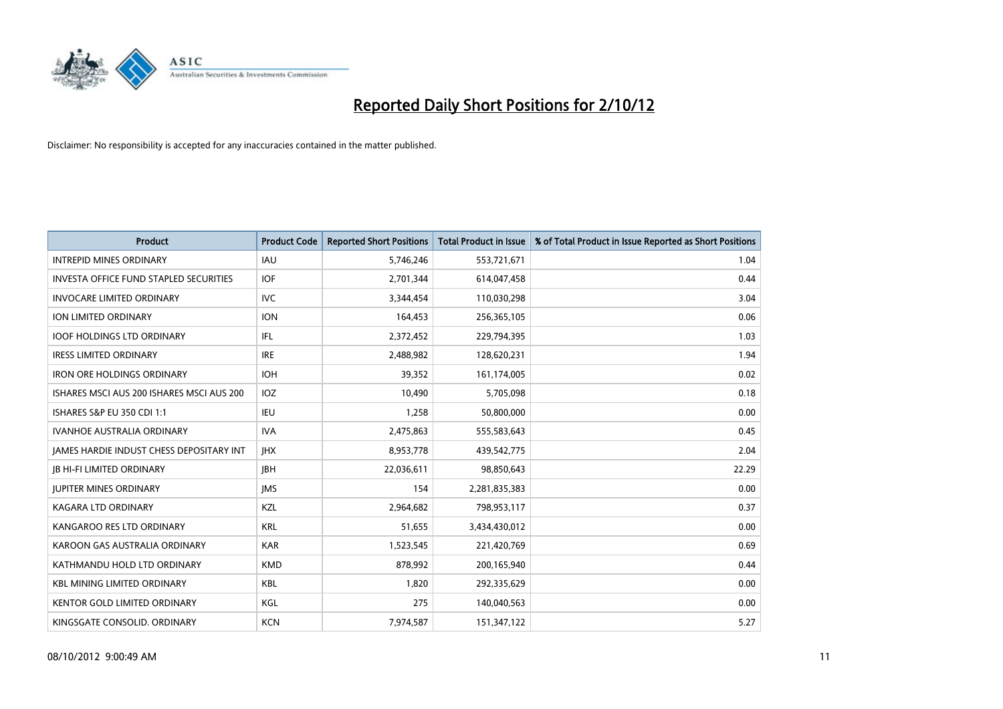

| <b>Product</b>                                | <b>Product Code</b> | <b>Reported Short Positions</b> | <b>Total Product in Issue</b> | % of Total Product in Issue Reported as Short Positions |
|-----------------------------------------------|---------------------|---------------------------------|-------------------------------|---------------------------------------------------------|
| <b>INTREPID MINES ORDINARY</b>                | <b>IAU</b>          | 5,746,246                       | 553,721,671                   | 1.04                                                    |
| <b>INVESTA OFFICE FUND STAPLED SECURITIES</b> | <b>IOF</b>          | 2,701,344                       | 614,047,458                   | 0.44                                                    |
| <b>INVOCARE LIMITED ORDINARY</b>              | IVC                 | 3,344,454                       | 110,030,298                   | 3.04                                                    |
| <b>ION LIMITED ORDINARY</b>                   | <b>ION</b>          | 164,453                         | 256,365,105                   | 0.06                                                    |
| <b>IOOF HOLDINGS LTD ORDINARY</b>             | IFL.                | 2,372,452                       | 229,794,395                   | 1.03                                                    |
| <b>IRESS LIMITED ORDINARY</b>                 | <b>IRE</b>          | 2,488,982                       | 128,620,231                   | 1.94                                                    |
| <b>IRON ORE HOLDINGS ORDINARY</b>             | <b>IOH</b>          | 39,352                          | 161,174,005                   | 0.02                                                    |
| ISHARES MSCI AUS 200 ISHARES MSCI AUS 200     | <b>IOZ</b>          | 10,490                          | 5,705,098                     | 0.18                                                    |
| ISHARES S&P EU 350 CDI 1:1                    | <b>IEU</b>          | 1,258                           | 50,800,000                    | 0.00                                                    |
| <b>IVANHOE AUSTRALIA ORDINARY</b>             | <b>IVA</b>          | 2,475,863                       | 555,583,643                   | 0.45                                                    |
| JAMES HARDIE INDUST CHESS DEPOSITARY INT      | <b>IHX</b>          | 8,953,778                       | 439,542,775                   | 2.04                                                    |
| <b>IB HI-FI LIMITED ORDINARY</b>              | <b>IBH</b>          | 22,036,611                      | 98,850,643                    | 22.29                                                   |
| <b>JUPITER MINES ORDINARY</b>                 | <b>IMS</b>          | 154                             | 2,281,835,383                 | 0.00                                                    |
| <b>KAGARA LTD ORDINARY</b>                    | <b>KZL</b>          | 2,964,682                       | 798,953,117                   | 0.37                                                    |
| KANGAROO RES LTD ORDINARY                     | <b>KRL</b>          | 51,655                          | 3,434,430,012                 | 0.00                                                    |
| KAROON GAS AUSTRALIA ORDINARY                 | <b>KAR</b>          | 1,523,545                       | 221,420,769                   | 0.69                                                    |
| KATHMANDU HOLD LTD ORDINARY                   | <b>KMD</b>          | 878,992                         | 200,165,940                   | 0.44                                                    |
| <b>KBL MINING LIMITED ORDINARY</b>            | <b>KBL</b>          | 1,820                           | 292,335,629                   | 0.00                                                    |
| <b>KENTOR GOLD LIMITED ORDINARY</b>           | KGL                 | 275                             | 140,040,563                   | 0.00                                                    |
| KINGSGATE CONSOLID. ORDINARY                  | <b>KCN</b>          | 7,974,587                       | 151,347,122                   | 5.27                                                    |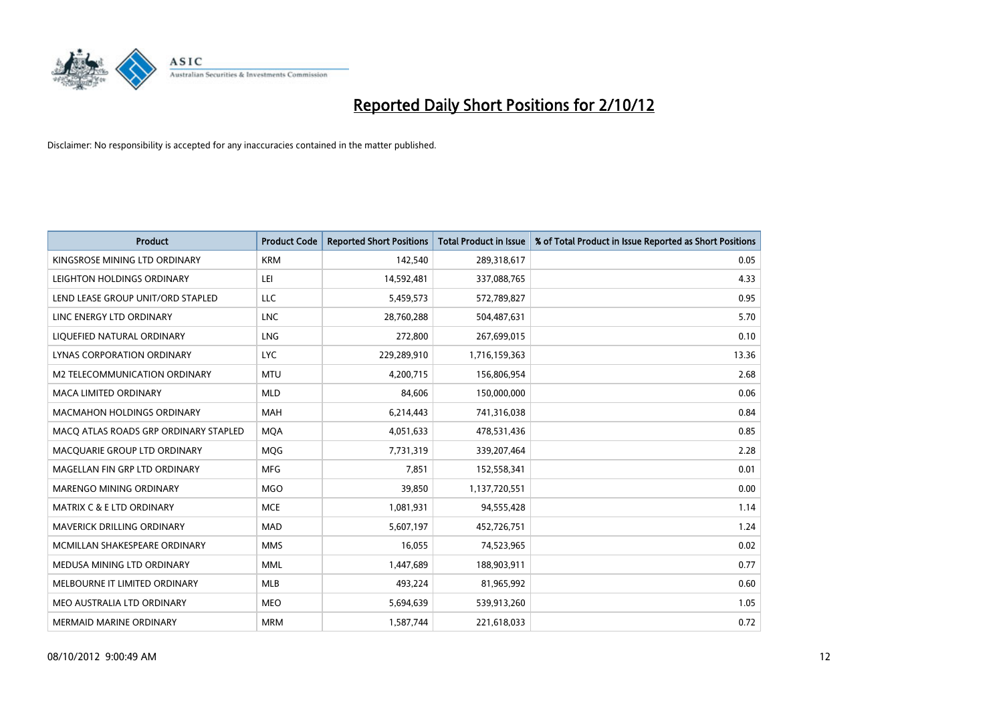

| <b>Product</b>                        | <b>Product Code</b> | <b>Reported Short Positions</b> | <b>Total Product in Issue</b> | % of Total Product in Issue Reported as Short Positions |
|---------------------------------------|---------------------|---------------------------------|-------------------------------|---------------------------------------------------------|
| KINGSROSE MINING LTD ORDINARY         | <b>KRM</b>          | 142,540                         | 289,318,617                   | 0.05                                                    |
| LEIGHTON HOLDINGS ORDINARY            | LEI                 | 14,592,481                      | 337,088,765                   | 4.33                                                    |
| LEND LEASE GROUP UNIT/ORD STAPLED     | LLC                 | 5,459,573                       | 572,789,827                   | 0.95                                                    |
| LINC ENERGY LTD ORDINARY              | <b>LNC</b>          | 28,760,288                      | 504,487,631                   | 5.70                                                    |
| LIQUEFIED NATURAL ORDINARY            | <b>LNG</b>          | 272,800                         | 267,699,015                   | 0.10                                                    |
| LYNAS CORPORATION ORDINARY            | <b>LYC</b>          | 229,289,910                     | 1,716,159,363                 | 13.36                                                   |
| M2 TELECOMMUNICATION ORDINARY         | <b>MTU</b>          | 4,200,715                       | 156,806,954                   | 2.68                                                    |
| <b>MACA LIMITED ORDINARY</b>          | <b>MLD</b>          | 84,606                          | 150,000,000                   | 0.06                                                    |
| <b>MACMAHON HOLDINGS ORDINARY</b>     | <b>MAH</b>          | 6,214,443                       | 741,316,038                   | 0.84                                                    |
| MACO ATLAS ROADS GRP ORDINARY STAPLED | <b>MOA</b>          | 4,051,633                       | 478,531,436                   | 0.85                                                    |
| MACQUARIE GROUP LTD ORDINARY          | MQG                 | 7,731,319                       | 339,207,464                   | 2.28                                                    |
| MAGELLAN FIN GRP LTD ORDINARY         | <b>MFG</b>          | 7.851                           | 152,558,341                   | 0.01                                                    |
| MARENGO MINING ORDINARY               | <b>MGO</b>          | 39,850                          | 1,137,720,551                 | 0.00                                                    |
| <b>MATRIX C &amp; E LTD ORDINARY</b>  | <b>MCE</b>          | 1,081,931                       | 94,555,428                    | 1.14                                                    |
| MAVERICK DRILLING ORDINARY            | <b>MAD</b>          | 5,607,197                       | 452,726,751                   | 1.24                                                    |
| MCMILLAN SHAKESPEARE ORDINARY         | <b>MMS</b>          | 16,055                          | 74,523,965                    | 0.02                                                    |
| MEDUSA MINING LTD ORDINARY            | <b>MML</b>          | 1,447,689                       | 188,903,911                   | 0.77                                                    |
| MELBOURNE IT LIMITED ORDINARY         | <b>MLB</b>          | 493,224                         | 81,965,992                    | 0.60                                                    |
| MEO AUSTRALIA LTD ORDINARY            | <b>MEO</b>          | 5,694,639                       | 539,913,260                   | 1.05                                                    |
| MERMAID MARINE ORDINARY               | <b>MRM</b>          | 1,587,744                       | 221,618,033                   | 0.72                                                    |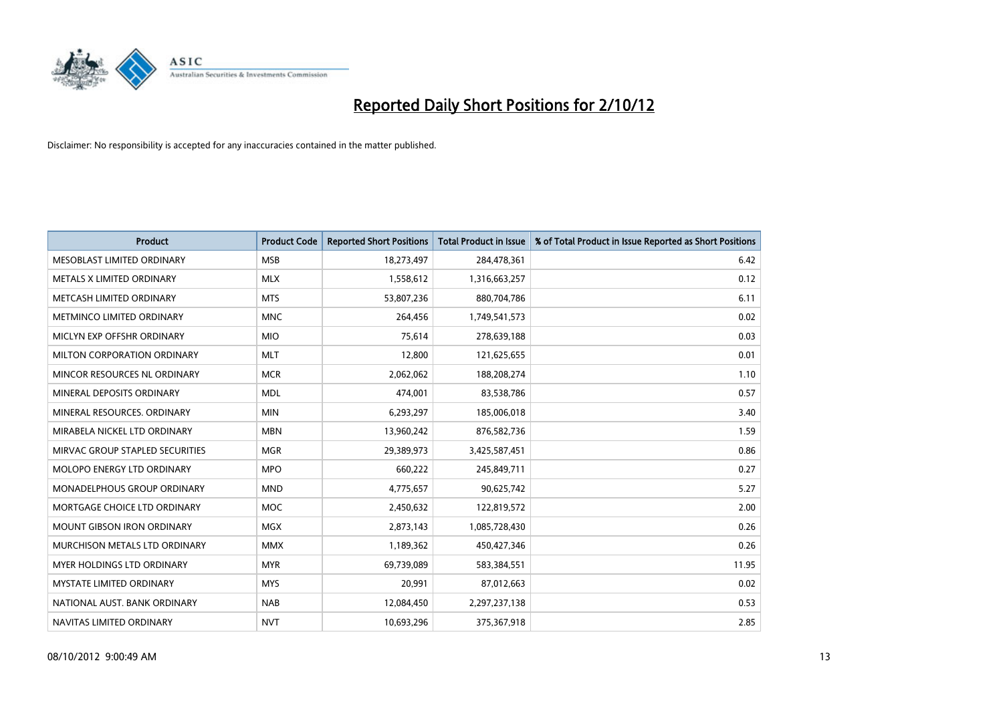

| <b>Product</b>                       | <b>Product Code</b> | <b>Reported Short Positions</b> | <b>Total Product in Issue</b> | % of Total Product in Issue Reported as Short Positions |
|--------------------------------------|---------------------|---------------------------------|-------------------------------|---------------------------------------------------------|
| MESOBLAST LIMITED ORDINARY           | <b>MSB</b>          | 18,273,497                      | 284,478,361                   | 6.42                                                    |
| METALS X LIMITED ORDINARY            | <b>MLX</b>          | 1,558,612                       | 1,316,663,257                 | 0.12                                                    |
| METCASH LIMITED ORDINARY             | <b>MTS</b>          | 53,807,236                      | 880,704,786                   | 6.11                                                    |
| METMINCO LIMITED ORDINARY            | <b>MNC</b>          | 264,456                         | 1,749,541,573                 | 0.02                                                    |
| MICLYN EXP OFFSHR ORDINARY           | <b>MIO</b>          | 75,614                          | 278,639,188                   | 0.03                                                    |
| <b>MILTON CORPORATION ORDINARY</b>   | <b>MLT</b>          | 12,800                          | 121,625,655                   | 0.01                                                    |
| MINCOR RESOURCES NL ORDINARY         | <b>MCR</b>          | 2,062,062                       | 188,208,274                   | 1.10                                                    |
| MINERAL DEPOSITS ORDINARY            | <b>MDL</b>          | 474,001                         | 83,538,786                    | 0.57                                                    |
| MINERAL RESOURCES, ORDINARY          | <b>MIN</b>          | 6,293,297                       | 185,006,018                   | 3.40                                                    |
| MIRABELA NICKEL LTD ORDINARY         | <b>MBN</b>          | 13,960,242                      | 876,582,736                   | 1.59                                                    |
| MIRVAC GROUP STAPLED SECURITIES      | <b>MGR</b>          | 29,389,973                      | 3,425,587,451                 | 0.86                                                    |
| MOLOPO ENERGY LTD ORDINARY           | <b>MPO</b>          | 660,222                         | 245,849,711                   | 0.27                                                    |
| <b>MONADELPHOUS GROUP ORDINARY</b>   | <b>MND</b>          | 4,775,657                       | 90,625,742                    | 5.27                                                    |
| MORTGAGE CHOICE LTD ORDINARY         | <b>MOC</b>          | 2,450,632                       | 122,819,572                   | 2.00                                                    |
| <b>MOUNT GIBSON IRON ORDINARY</b>    | <b>MGX</b>          | 2,873,143                       | 1,085,728,430                 | 0.26                                                    |
| <b>MURCHISON METALS LTD ORDINARY</b> | <b>MMX</b>          | 1,189,362                       | 450,427,346                   | 0.26                                                    |
| MYER HOLDINGS LTD ORDINARY           | <b>MYR</b>          | 69,739,089                      | 583,384,551                   | 11.95                                                   |
| MYSTATE LIMITED ORDINARY             | <b>MYS</b>          | 20,991                          | 87,012,663                    | 0.02                                                    |
| NATIONAL AUST, BANK ORDINARY         | <b>NAB</b>          | 12,084,450                      | 2,297,237,138                 | 0.53                                                    |
| NAVITAS LIMITED ORDINARY             | <b>NVT</b>          | 10,693,296                      | 375,367,918                   | 2.85                                                    |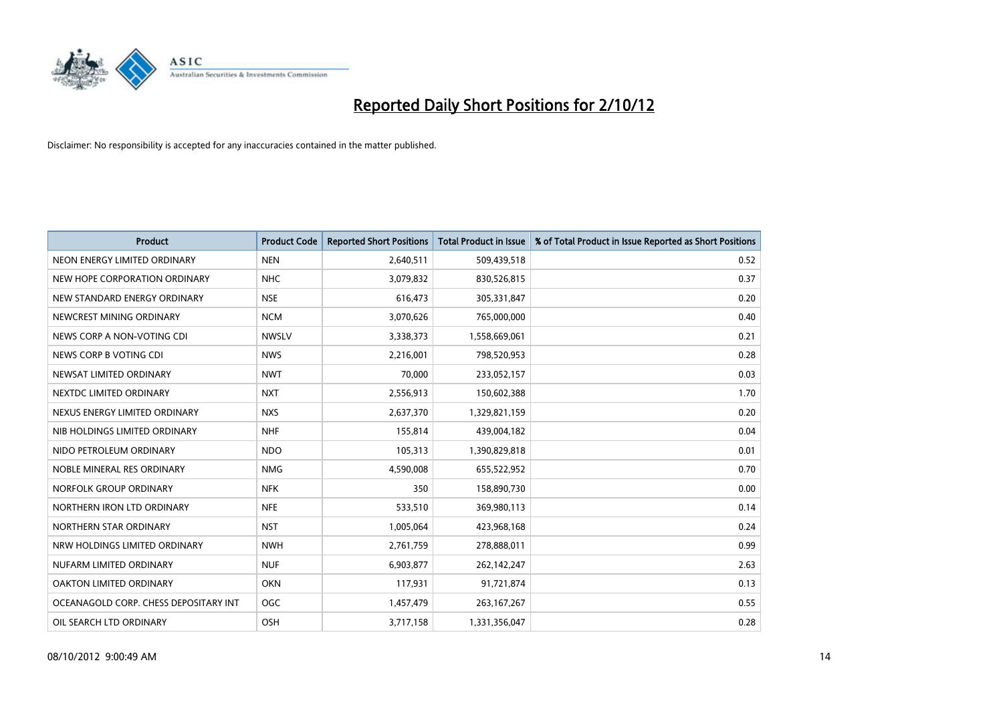

| <b>Product</b>                        | <b>Product Code</b> | <b>Reported Short Positions</b> | <b>Total Product in Issue</b> | % of Total Product in Issue Reported as Short Positions |
|---------------------------------------|---------------------|---------------------------------|-------------------------------|---------------------------------------------------------|
| NEON ENERGY LIMITED ORDINARY          | <b>NEN</b>          | 2,640,511                       | 509,439,518                   | 0.52                                                    |
| NEW HOPE CORPORATION ORDINARY         | <b>NHC</b>          | 3,079,832                       | 830,526,815                   | 0.37                                                    |
| NEW STANDARD ENERGY ORDINARY          | <b>NSE</b>          | 616,473                         | 305,331,847                   | 0.20                                                    |
| NEWCREST MINING ORDINARY              | <b>NCM</b>          | 3,070,626                       | 765,000,000                   | 0.40                                                    |
| NEWS CORP A NON-VOTING CDI            | <b>NWSLV</b>        | 3,338,373                       | 1,558,669,061                 | 0.21                                                    |
| NEWS CORP B VOTING CDI                | <b>NWS</b>          | 2,216,001                       | 798,520,953                   | 0.28                                                    |
| NEWSAT LIMITED ORDINARY               | <b>NWT</b>          | 70,000                          | 233,052,157                   | 0.03                                                    |
| NEXTDC LIMITED ORDINARY               | <b>NXT</b>          | 2,556,913                       | 150,602,388                   | 1.70                                                    |
| NEXUS ENERGY LIMITED ORDINARY         | <b>NXS</b>          | 2,637,370                       | 1,329,821,159                 | 0.20                                                    |
| NIB HOLDINGS LIMITED ORDINARY         | <b>NHF</b>          | 155,814                         | 439,004,182                   | 0.04                                                    |
| NIDO PETROLEUM ORDINARY               | <b>NDO</b>          | 105,313                         | 1,390,829,818                 | 0.01                                                    |
| NOBLE MINERAL RES ORDINARY            | <b>NMG</b>          | 4,590,008                       | 655,522,952                   | 0.70                                                    |
| NORFOLK GROUP ORDINARY                | <b>NFK</b>          | 350                             | 158,890,730                   | 0.00                                                    |
| NORTHERN IRON LTD ORDINARY            | <b>NFE</b>          | 533,510                         | 369,980,113                   | 0.14                                                    |
| NORTHERN STAR ORDINARY                | <b>NST</b>          | 1,005,064                       | 423,968,168                   | 0.24                                                    |
| NRW HOLDINGS LIMITED ORDINARY         | <b>NWH</b>          | 2,761,759                       | 278,888,011                   | 0.99                                                    |
| NUFARM LIMITED ORDINARY               | <b>NUF</b>          | 6,903,877                       | 262,142,247                   | 2.63                                                    |
| OAKTON LIMITED ORDINARY               | <b>OKN</b>          | 117,931                         | 91,721,874                    | 0.13                                                    |
| OCEANAGOLD CORP. CHESS DEPOSITARY INT | <b>OGC</b>          | 1,457,479                       | 263, 167, 267                 | 0.55                                                    |
| OIL SEARCH LTD ORDINARY               | OSH                 | 3,717,158                       | 1,331,356,047                 | 0.28                                                    |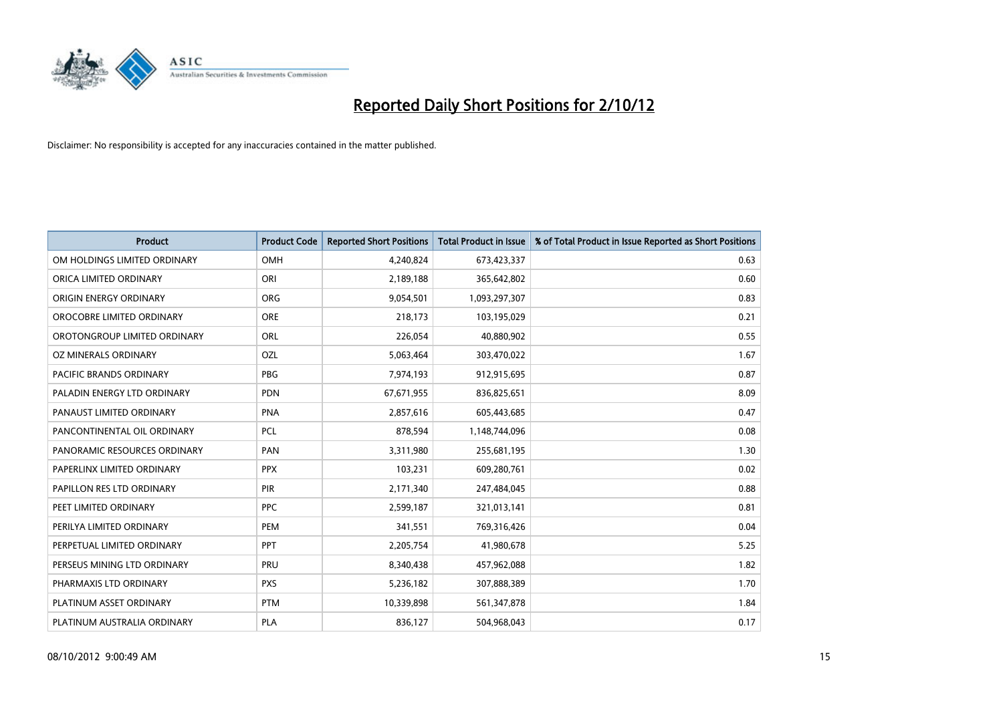

| <b>Product</b>               | <b>Product Code</b> | <b>Reported Short Positions</b> | <b>Total Product in Issue</b> | % of Total Product in Issue Reported as Short Positions |
|------------------------------|---------------------|---------------------------------|-------------------------------|---------------------------------------------------------|
| OM HOLDINGS LIMITED ORDINARY | OMH                 | 4,240,824                       | 673,423,337                   | 0.63                                                    |
| ORICA LIMITED ORDINARY       | ORI                 | 2,189,188                       | 365,642,802                   | 0.60                                                    |
| ORIGIN ENERGY ORDINARY       | <b>ORG</b>          | 9,054,501                       | 1,093,297,307                 | 0.83                                                    |
| OROCOBRE LIMITED ORDINARY    | <b>ORE</b>          | 218,173                         | 103,195,029                   | 0.21                                                    |
| OROTONGROUP LIMITED ORDINARY | <b>ORL</b>          | 226,054                         | 40,880,902                    | 0.55                                                    |
| OZ MINERALS ORDINARY         | OZL                 | 5,063,464                       | 303,470,022                   | 1.67                                                    |
| PACIFIC BRANDS ORDINARY      | <b>PBG</b>          | 7,974,193                       | 912,915,695                   | 0.87                                                    |
| PALADIN ENERGY LTD ORDINARY  | <b>PDN</b>          | 67,671,955                      | 836,825,651                   | 8.09                                                    |
| PANAUST LIMITED ORDINARY     | <b>PNA</b>          | 2,857,616                       | 605,443,685                   | 0.47                                                    |
| PANCONTINENTAL OIL ORDINARY  | <b>PCL</b>          | 878,594                         | 1,148,744,096                 | 0.08                                                    |
| PANORAMIC RESOURCES ORDINARY | PAN                 | 3,311,980                       | 255,681,195                   | 1.30                                                    |
| PAPERLINX LIMITED ORDINARY   | <b>PPX</b>          | 103,231                         | 609,280,761                   | 0.02                                                    |
| PAPILLON RES LTD ORDINARY    | PIR                 | 2,171,340                       | 247,484,045                   | 0.88                                                    |
| PEET LIMITED ORDINARY        | <b>PPC</b>          | 2,599,187                       | 321,013,141                   | 0.81                                                    |
| PERILYA LIMITED ORDINARY     | <b>PEM</b>          | 341,551                         | 769,316,426                   | 0.04                                                    |
| PERPETUAL LIMITED ORDINARY   | <b>PPT</b>          | 2,205,754                       | 41,980,678                    | 5.25                                                    |
| PERSEUS MINING LTD ORDINARY  | PRU                 | 8,340,438                       | 457,962,088                   | 1.82                                                    |
| PHARMAXIS LTD ORDINARY       | <b>PXS</b>          | 5,236,182                       | 307,888,389                   | 1.70                                                    |
| PLATINUM ASSET ORDINARY      | <b>PTM</b>          | 10,339,898                      | 561,347,878                   | 1.84                                                    |
| PLATINUM AUSTRALIA ORDINARY  | <b>PLA</b>          | 836,127                         | 504,968,043                   | 0.17                                                    |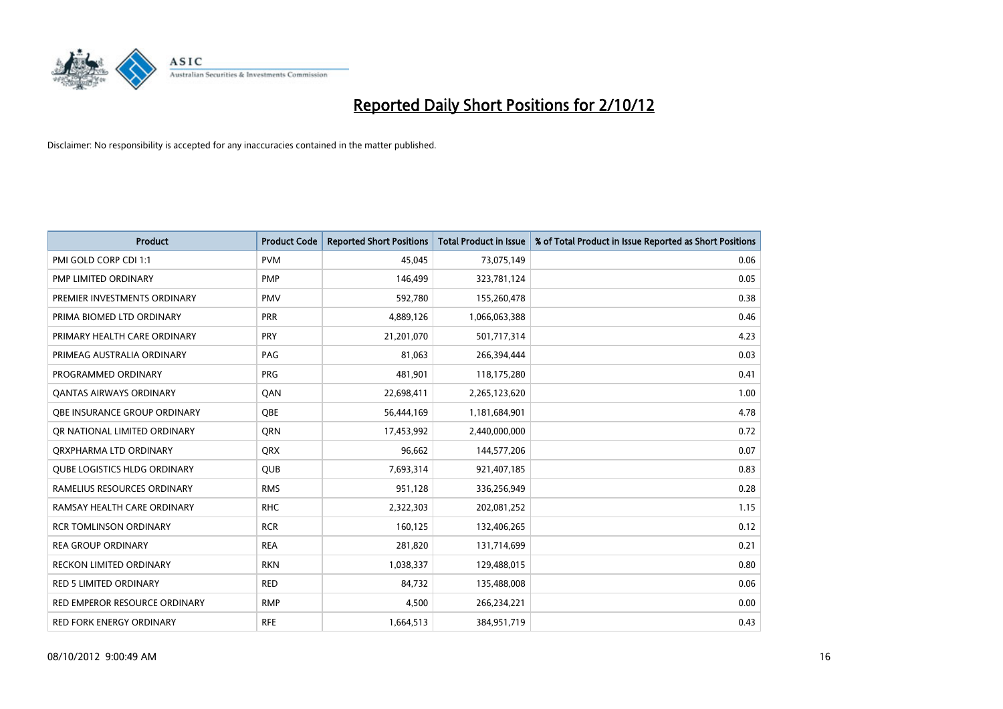

| <b>Product</b>                      | <b>Product Code</b> | <b>Reported Short Positions</b> | <b>Total Product in Issue</b> | % of Total Product in Issue Reported as Short Positions |
|-------------------------------------|---------------------|---------------------------------|-------------------------------|---------------------------------------------------------|
| PMI GOLD CORP CDI 1:1               | <b>PVM</b>          | 45,045                          | 73,075,149                    | 0.06                                                    |
| PMP LIMITED ORDINARY                | <b>PMP</b>          | 146,499                         | 323,781,124                   | 0.05                                                    |
| PREMIER INVESTMENTS ORDINARY        | <b>PMV</b>          | 592,780                         | 155,260,478                   | 0.38                                                    |
| PRIMA BIOMED LTD ORDINARY           | <b>PRR</b>          | 4,889,126                       | 1,066,063,388                 | 0.46                                                    |
| PRIMARY HEALTH CARE ORDINARY        | <b>PRY</b>          | 21,201,070                      | 501,717,314                   | 4.23                                                    |
| PRIMEAG AUSTRALIA ORDINARY          | PAG                 | 81,063                          | 266,394,444                   | 0.03                                                    |
| PROGRAMMED ORDINARY                 | <b>PRG</b>          | 481,901                         | 118,175,280                   | 0.41                                                    |
| <b>QANTAS AIRWAYS ORDINARY</b>      | QAN                 | 22,698,411                      | 2,265,123,620                 | 1.00                                                    |
| <b>OBE INSURANCE GROUP ORDINARY</b> | <b>OBE</b>          | 56,444,169                      | 1,181,684,901                 | 4.78                                                    |
| OR NATIONAL LIMITED ORDINARY        | <b>ORN</b>          | 17,453,992                      | 2,440,000,000                 | 0.72                                                    |
| ORXPHARMA LTD ORDINARY              | <b>QRX</b>          | 96,662                          | 144,577,206                   | 0.07                                                    |
| <b>QUBE LOGISTICS HLDG ORDINARY</b> | QUB                 | 7,693,314                       | 921,407,185                   | 0.83                                                    |
| RAMELIUS RESOURCES ORDINARY         | <b>RMS</b>          | 951,128                         | 336,256,949                   | 0.28                                                    |
| RAMSAY HEALTH CARE ORDINARY         | <b>RHC</b>          | 2,322,303                       | 202,081,252                   | 1.15                                                    |
| <b>RCR TOMLINSON ORDINARY</b>       | <b>RCR</b>          | 160,125                         | 132,406,265                   | 0.12                                                    |
| <b>REA GROUP ORDINARY</b>           | <b>REA</b>          | 281,820                         | 131,714,699                   | 0.21                                                    |
| RECKON LIMITED ORDINARY             | <b>RKN</b>          | 1,038,337                       | 129,488,015                   | 0.80                                                    |
| RED 5 LIMITED ORDINARY              | <b>RED</b>          | 84,732                          | 135,488,008                   | 0.06                                                    |
| RED EMPEROR RESOURCE ORDINARY       | <b>RMP</b>          | 4,500                           | 266,234,221                   | 0.00                                                    |
| RED FORK ENERGY ORDINARY            | <b>RFE</b>          | 1,664,513                       | 384,951,719                   | 0.43                                                    |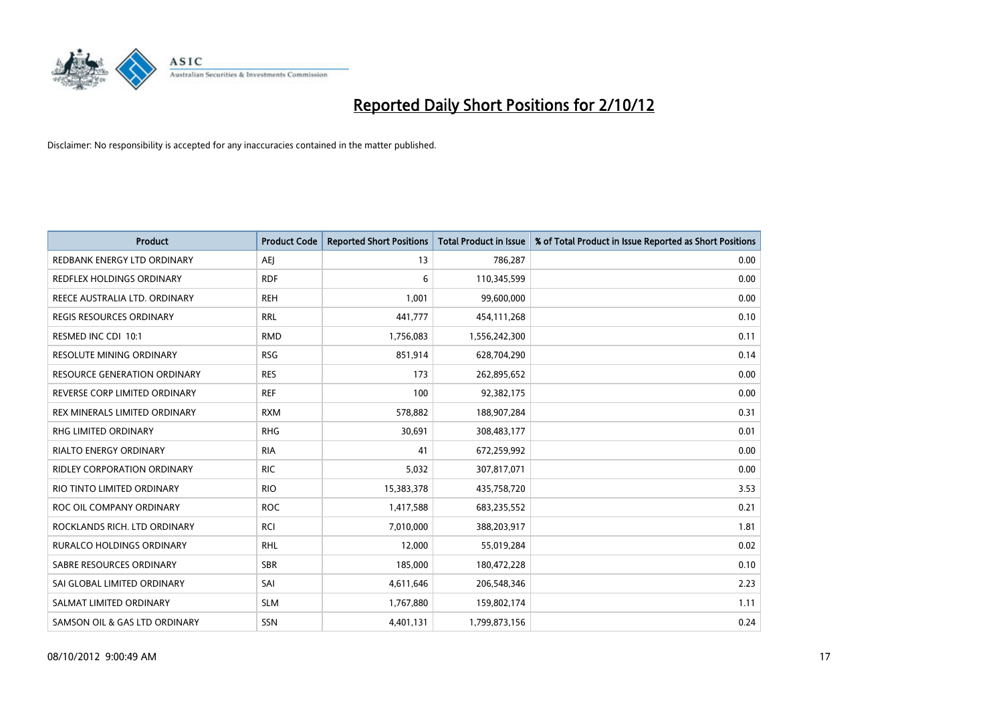

| <b>Product</b>                     | <b>Product Code</b> | <b>Reported Short Positions</b> | <b>Total Product in Issue</b> | % of Total Product in Issue Reported as Short Positions |
|------------------------------------|---------------------|---------------------------------|-------------------------------|---------------------------------------------------------|
| REDBANK ENERGY LTD ORDINARY        | AEI                 | 13                              | 786,287                       | 0.00                                                    |
| REDFLEX HOLDINGS ORDINARY          | <b>RDF</b>          | 6                               | 110,345,599                   | 0.00                                                    |
| REECE AUSTRALIA LTD. ORDINARY      | <b>REH</b>          | 1,001                           | 99,600,000                    | 0.00                                                    |
| REGIS RESOURCES ORDINARY           | <b>RRL</b>          | 441,777                         | 454,111,268                   | 0.10                                                    |
| RESMED INC CDI 10:1                | <b>RMD</b>          | 1,756,083                       | 1,556,242,300                 | 0.11                                                    |
| <b>RESOLUTE MINING ORDINARY</b>    | <b>RSG</b>          | 851,914                         | 628,704,290                   | 0.14                                                    |
| RESOURCE GENERATION ORDINARY       | <b>RES</b>          | 173                             | 262,895,652                   | 0.00                                                    |
| REVERSE CORP LIMITED ORDINARY      | <b>REF</b>          | 100                             | 92,382,175                    | 0.00                                                    |
| REX MINERALS LIMITED ORDINARY      | <b>RXM</b>          | 578,882                         | 188,907,284                   | 0.31                                                    |
| <b>RHG LIMITED ORDINARY</b>        | <b>RHG</b>          | 30,691                          | 308,483,177                   | 0.01                                                    |
| RIALTO ENERGY ORDINARY             | <b>RIA</b>          | 41                              | 672,259,992                   | 0.00                                                    |
| <b>RIDLEY CORPORATION ORDINARY</b> | <b>RIC</b>          | 5,032                           | 307,817,071                   | 0.00                                                    |
| RIO TINTO LIMITED ORDINARY         | <b>RIO</b>          | 15,383,378                      | 435,758,720                   | 3.53                                                    |
| ROC OIL COMPANY ORDINARY           | <b>ROC</b>          | 1,417,588                       | 683,235,552                   | 0.21                                                    |
| ROCKLANDS RICH. LTD ORDINARY       | <b>RCI</b>          | 7,010,000                       | 388,203,917                   | 1.81                                                    |
| RURALCO HOLDINGS ORDINARY          | <b>RHL</b>          | 12,000                          | 55,019,284                    | 0.02                                                    |
| SABRE RESOURCES ORDINARY           | <b>SBR</b>          | 185,000                         | 180,472,228                   | 0.10                                                    |
| SAI GLOBAL LIMITED ORDINARY        | SAI                 | 4,611,646                       | 206,548,346                   | 2.23                                                    |
| SALMAT LIMITED ORDINARY            | <b>SLM</b>          | 1,767,880                       | 159,802,174                   | 1.11                                                    |
| SAMSON OIL & GAS LTD ORDINARY      | <b>SSN</b>          | 4,401,131                       | 1,799,873,156                 | 0.24                                                    |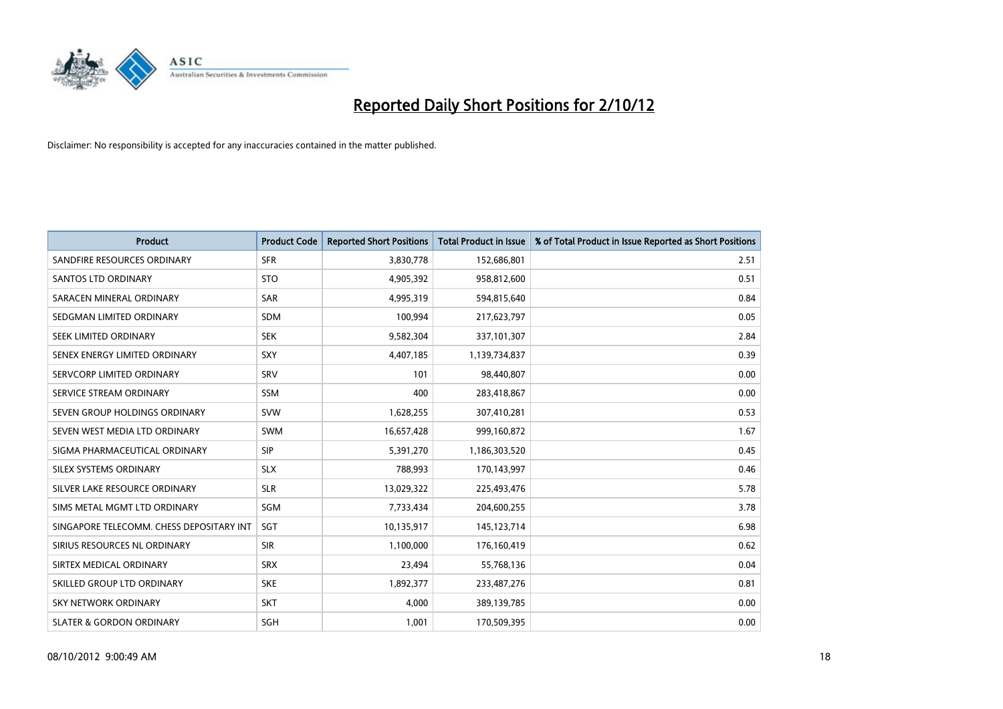

| <b>Product</b>                           | <b>Product Code</b> | <b>Reported Short Positions</b> | <b>Total Product in Issue</b> | % of Total Product in Issue Reported as Short Positions |
|------------------------------------------|---------------------|---------------------------------|-------------------------------|---------------------------------------------------------|
| SANDFIRE RESOURCES ORDINARY              | <b>SFR</b>          | 3,830,778                       | 152,686,801                   | 2.51                                                    |
| <b>SANTOS LTD ORDINARY</b>               | <b>STO</b>          | 4,905,392                       | 958,812,600                   | 0.51                                                    |
| SARACEN MINERAL ORDINARY                 | <b>SAR</b>          | 4,995,319                       | 594,815,640                   | 0.84                                                    |
| SEDGMAN LIMITED ORDINARY                 | <b>SDM</b>          | 100,994                         | 217,623,797                   | 0.05                                                    |
| <b>SEEK LIMITED ORDINARY</b>             | <b>SEK</b>          | 9,582,304                       | 337,101,307                   | 2.84                                                    |
| SENEX ENERGY LIMITED ORDINARY            | SXY                 | 4,407,185                       | 1,139,734,837                 | 0.39                                                    |
| SERVCORP LIMITED ORDINARY                | SRV                 | 101                             | 98,440,807                    | 0.00                                                    |
| SERVICE STREAM ORDINARY                  | <b>SSM</b>          | 400                             | 283,418,867                   | 0.00                                                    |
| SEVEN GROUP HOLDINGS ORDINARY            | <b>SVW</b>          | 1,628,255                       | 307,410,281                   | 0.53                                                    |
| SEVEN WEST MEDIA LTD ORDINARY            | <b>SWM</b>          | 16,657,428                      | 999,160,872                   | 1.67                                                    |
| SIGMA PHARMACEUTICAL ORDINARY            | <b>SIP</b>          | 5,391,270                       | 1,186,303,520                 | 0.45                                                    |
| SILEX SYSTEMS ORDINARY                   | <b>SLX</b>          | 788,993                         | 170,143,997                   | 0.46                                                    |
| SILVER LAKE RESOURCE ORDINARY            | <b>SLR</b>          | 13,029,322                      | 225,493,476                   | 5.78                                                    |
| SIMS METAL MGMT LTD ORDINARY             | SGM                 | 7,733,434                       | 204,600,255                   | 3.78                                                    |
| SINGAPORE TELECOMM. CHESS DEPOSITARY INT | <b>SGT</b>          | 10,135,917                      | 145, 123, 714                 | 6.98                                                    |
| SIRIUS RESOURCES NL ORDINARY             | <b>SIR</b>          | 1,100,000                       | 176,160,419                   | 0.62                                                    |
| SIRTEX MEDICAL ORDINARY                  | <b>SRX</b>          | 23,494                          | 55,768,136                    | 0.04                                                    |
| SKILLED GROUP LTD ORDINARY               | <b>SKE</b>          | 1,892,377                       | 233,487,276                   | 0.81                                                    |
| <b>SKY NETWORK ORDINARY</b>              | <b>SKT</b>          | 4,000                           | 389,139,785                   | 0.00                                                    |
| <b>SLATER &amp; GORDON ORDINARY</b>      | SGH                 | 1,001                           | 170,509,395                   | 0.00                                                    |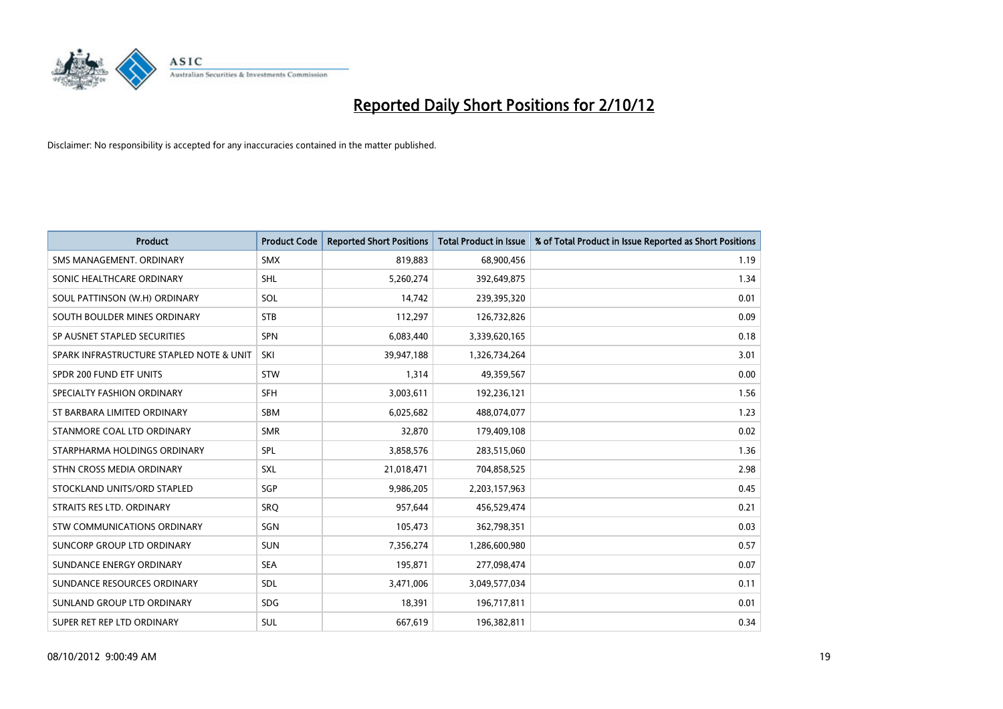

| <b>Product</b>                           | <b>Product Code</b> | <b>Reported Short Positions</b> | <b>Total Product in Issue</b> | % of Total Product in Issue Reported as Short Positions |
|------------------------------------------|---------------------|---------------------------------|-------------------------------|---------------------------------------------------------|
| SMS MANAGEMENT, ORDINARY                 | <b>SMX</b>          | 819,883                         | 68,900,456                    | 1.19                                                    |
| SONIC HEALTHCARE ORDINARY                | <b>SHL</b>          | 5,260,274                       | 392,649,875                   | 1.34                                                    |
| SOUL PATTINSON (W.H) ORDINARY            | SOL                 | 14,742                          | 239,395,320                   | 0.01                                                    |
| SOUTH BOULDER MINES ORDINARY             | <b>STB</b>          | 112,297                         | 126,732,826                   | 0.09                                                    |
| SP AUSNET STAPLED SECURITIES             | <b>SPN</b>          | 6,083,440                       | 3,339,620,165                 | 0.18                                                    |
| SPARK INFRASTRUCTURE STAPLED NOTE & UNIT | SKI                 | 39,947,188                      | 1,326,734,264                 | 3.01                                                    |
| SPDR 200 FUND ETF UNITS                  | <b>STW</b>          | 1,314                           | 49,359,567                    | 0.00                                                    |
| SPECIALTY FASHION ORDINARY               | <b>SFH</b>          | 3,003,611                       | 192,236,121                   | 1.56                                                    |
| ST BARBARA LIMITED ORDINARY              | <b>SBM</b>          | 6,025,682                       | 488,074,077                   | 1.23                                                    |
| STANMORE COAL LTD ORDINARY               | <b>SMR</b>          | 32,870                          | 179,409,108                   | 0.02                                                    |
| STARPHARMA HOLDINGS ORDINARY             | SPL                 | 3,858,576                       | 283,515,060                   | 1.36                                                    |
| STHN CROSS MEDIA ORDINARY                | <b>SXL</b>          | 21,018,471                      | 704,858,525                   | 2.98                                                    |
| STOCKLAND UNITS/ORD STAPLED              | SGP                 | 9,986,205                       | 2,203,157,963                 | 0.45                                                    |
| STRAITS RES LTD. ORDINARY                | SRO                 | 957,644                         | 456,529,474                   | 0.21                                                    |
| <b>STW COMMUNICATIONS ORDINARY</b>       | SGN                 | 105,473                         | 362,798,351                   | 0.03                                                    |
| SUNCORP GROUP LTD ORDINARY               | <b>SUN</b>          | 7,356,274                       | 1,286,600,980                 | 0.57                                                    |
| SUNDANCE ENERGY ORDINARY                 | <b>SEA</b>          | 195,871                         | 277,098,474                   | 0.07                                                    |
| SUNDANCE RESOURCES ORDINARY              | <b>SDL</b>          | 3,471,006                       | 3,049,577,034                 | 0.11                                                    |
| SUNLAND GROUP LTD ORDINARY               | <b>SDG</b>          | 18,391                          | 196,717,811                   | 0.01                                                    |
| SUPER RET REP LTD ORDINARY               | <b>SUL</b>          | 667,619                         | 196,382,811                   | 0.34                                                    |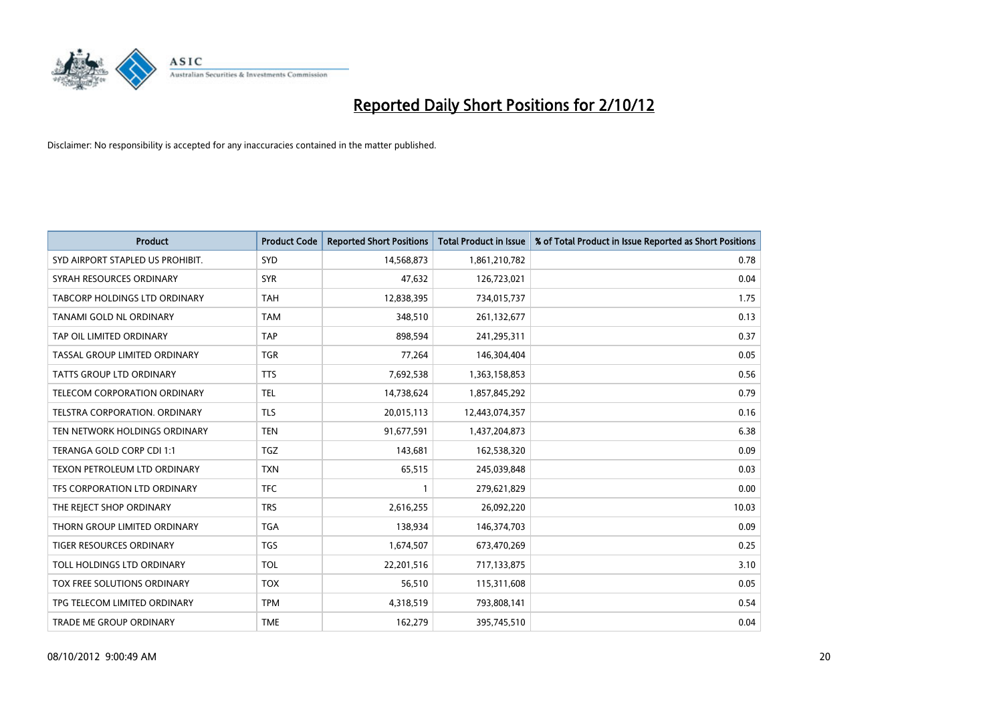

| <b>Product</b>                      | <b>Product Code</b> | <b>Reported Short Positions</b> | <b>Total Product in Issue</b> | % of Total Product in Issue Reported as Short Positions |
|-------------------------------------|---------------------|---------------------------------|-------------------------------|---------------------------------------------------------|
| SYD AIRPORT STAPLED US PROHIBIT.    | <b>SYD</b>          | 14,568,873                      | 1,861,210,782                 | 0.78                                                    |
| SYRAH RESOURCES ORDINARY            | <b>SYR</b>          | 47,632                          | 126,723,021                   | 0.04                                                    |
| TABCORP HOLDINGS LTD ORDINARY       | <b>TAH</b>          | 12,838,395                      | 734,015,737                   | 1.75                                                    |
| TANAMI GOLD NL ORDINARY             | <b>TAM</b>          | 348,510                         | 261,132,677                   | 0.13                                                    |
| TAP OIL LIMITED ORDINARY            | <b>TAP</b>          | 898,594                         | 241,295,311                   | 0.37                                                    |
| TASSAL GROUP LIMITED ORDINARY       | <b>TGR</b>          | 77,264                          | 146,304,404                   | 0.05                                                    |
| <b>TATTS GROUP LTD ORDINARY</b>     | <b>TTS</b>          | 7,692,538                       | 1,363,158,853                 | 0.56                                                    |
| TELECOM CORPORATION ORDINARY        | <b>TEL</b>          | 14,738,624                      | 1,857,845,292                 | 0.79                                                    |
| TELSTRA CORPORATION, ORDINARY       | <b>TLS</b>          | 20,015,113                      | 12,443,074,357                | 0.16                                                    |
| TEN NETWORK HOLDINGS ORDINARY       | <b>TEN</b>          | 91,677,591                      | 1,437,204,873                 | 6.38                                                    |
| TERANGA GOLD CORP CDI 1:1           | <b>TGZ</b>          | 143,681                         | 162,538,320                   | 0.09                                                    |
| <b>TEXON PETROLEUM LTD ORDINARY</b> | <b>TXN</b>          | 65,515                          | 245,039,848                   | 0.03                                                    |
| TFS CORPORATION LTD ORDINARY        | <b>TFC</b>          |                                 | 279,621,829                   | 0.00                                                    |
| THE REJECT SHOP ORDINARY            | <b>TRS</b>          | 2,616,255                       | 26,092,220                    | 10.03                                                   |
| THORN GROUP LIMITED ORDINARY        | <b>TGA</b>          | 138,934                         | 146,374,703                   | 0.09                                                    |
| TIGER RESOURCES ORDINARY            | <b>TGS</b>          | 1,674,507                       | 673,470,269                   | 0.25                                                    |
| TOLL HOLDINGS LTD ORDINARY          | <b>TOL</b>          | 22,201,516                      | 717,133,875                   | 3.10                                                    |
| TOX FREE SOLUTIONS ORDINARY         | <b>TOX</b>          | 56,510                          | 115,311,608                   | 0.05                                                    |
| TPG TELECOM LIMITED ORDINARY        | <b>TPM</b>          | 4,318,519                       | 793,808,141                   | 0.54                                                    |
| TRADE ME GROUP ORDINARY             | <b>TME</b>          | 162,279                         | 395,745,510                   | 0.04                                                    |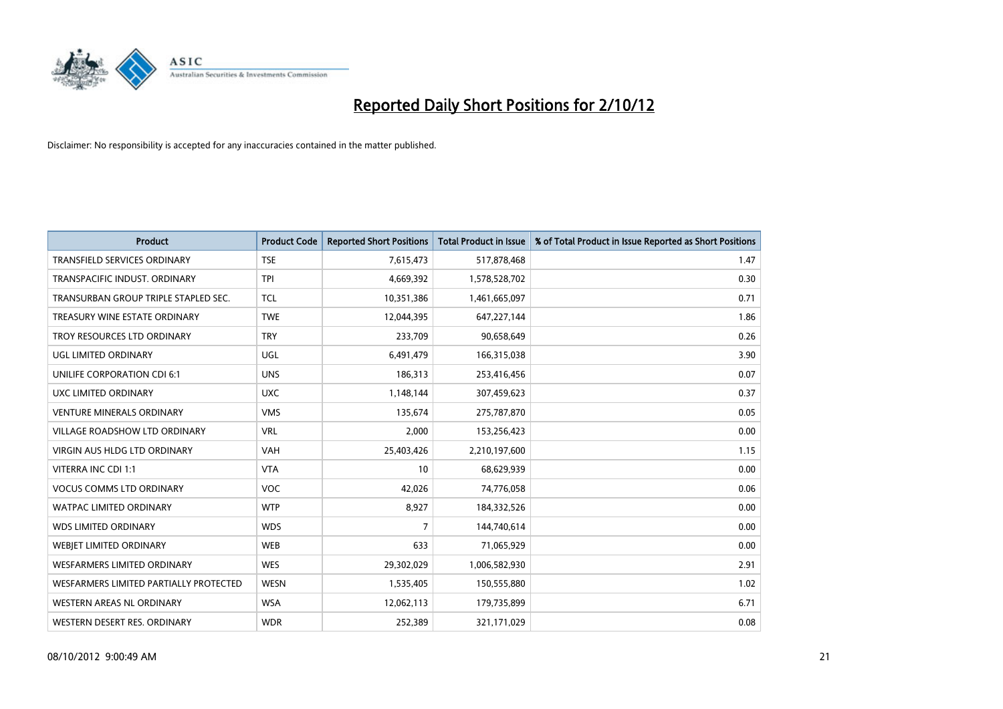

| <b>Product</b>                         | <b>Product Code</b> | <b>Reported Short Positions</b> | <b>Total Product in Issue</b> | % of Total Product in Issue Reported as Short Positions |
|----------------------------------------|---------------------|---------------------------------|-------------------------------|---------------------------------------------------------|
| <b>TRANSFIELD SERVICES ORDINARY</b>    | <b>TSE</b>          | 7,615,473                       | 517,878,468                   | 1.47                                                    |
| TRANSPACIFIC INDUST. ORDINARY          | <b>TPI</b>          | 4,669,392                       | 1,578,528,702                 | 0.30                                                    |
| TRANSURBAN GROUP TRIPLE STAPLED SEC.   | <b>TCL</b>          | 10,351,386                      | 1,461,665,097                 | 0.71                                                    |
| TREASURY WINE ESTATE ORDINARY          | <b>TWE</b>          | 12,044,395                      | 647,227,144                   | 1.86                                                    |
| TROY RESOURCES LTD ORDINARY            | <b>TRY</b>          | 233,709                         | 90,658,649                    | 0.26                                                    |
| UGL LIMITED ORDINARY                   | UGL                 | 6,491,479                       | 166,315,038                   | 3.90                                                    |
| UNILIFE CORPORATION CDI 6:1            | <b>UNS</b>          | 186,313                         | 253,416,456                   | 0.07                                                    |
| UXC LIMITED ORDINARY                   | <b>UXC</b>          | 1,148,144                       | 307,459,623                   | 0.37                                                    |
| <b>VENTURE MINERALS ORDINARY</b>       | <b>VMS</b>          | 135,674                         | 275,787,870                   | 0.05                                                    |
| <b>VILLAGE ROADSHOW LTD ORDINARY</b>   | <b>VRL</b>          | 2,000                           | 153,256,423                   | 0.00                                                    |
| VIRGIN AUS HLDG LTD ORDINARY           | <b>VAH</b>          | 25,403,426                      | 2,210,197,600                 | 1.15                                                    |
| VITERRA INC CDI 1:1                    | <b>VTA</b>          | 10                              | 68,629,939                    | 0.00                                                    |
| <b>VOCUS COMMS LTD ORDINARY</b>        | VOC                 | 42,026                          | 74,776,058                    | 0.06                                                    |
| <b>WATPAC LIMITED ORDINARY</b>         | <b>WTP</b>          | 8,927                           | 184,332,526                   | 0.00                                                    |
| <b>WDS LIMITED ORDINARY</b>            | <b>WDS</b>          | $\overline{7}$                  | 144,740,614                   | 0.00                                                    |
| WEBIET LIMITED ORDINARY                | <b>WEB</b>          | 633                             | 71,065,929                    | 0.00                                                    |
| WESFARMERS LIMITED ORDINARY            | <b>WES</b>          | 29,302,029                      | 1,006,582,930                 | 2.91                                                    |
| WESFARMERS LIMITED PARTIALLY PROTECTED | <b>WESN</b>         | 1,535,405                       | 150,555,880                   | 1.02                                                    |
| WESTERN AREAS NL ORDINARY              | <b>WSA</b>          | 12,062,113                      | 179,735,899                   | 6.71                                                    |
| WESTERN DESERT RES. ORDINARY           | <b>WDR</b>          | 252,389                         | 321,171,029                   | 0.08                                                    |